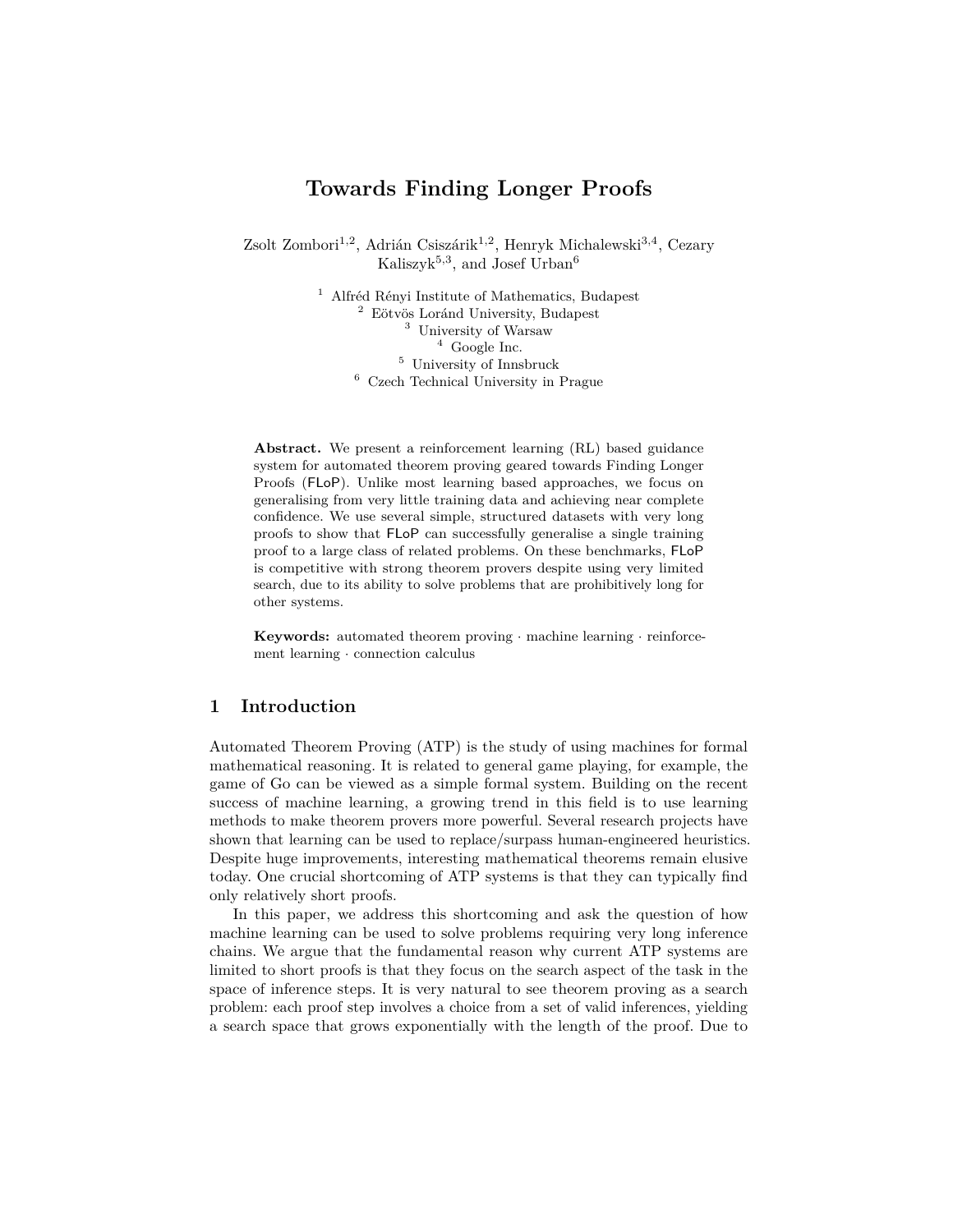# **Towards Finding Longer Proofs**

Zsolt Zombori<sup>1,2</sup>, Adrián Csiszárik<sup>1,2</sup>, Henryk Michalewski<sup>3,4</sup>, Cezary Kaliszyk<sup>5,3</sup>, and Josef Urban<sup>6</sup>

> <sup>1</sup> Alfréd Rényi Institute of Mathematics, Budapest Eötvös Loránd University, Budapest University of Warsaw <sup>4</sup> Google Inc. University of Innsbruck Czech Technical University in Prague

**Abstract.** We present a reinforcement learning (RL) based guidance system for automated theorem proving geared towards Finding Longer Proofs (FLoP). Unlike most learning based approaches, we focus on generalising from very little training data and achieving near complete confidence. We use several simple, structured datasets with very long proofs to show that FLoP can successfully generalise a single training proof to a large class of related problems. On these benchmarks, FLoP is competitive with strong theorem provers despite using very limited search, due to its ability to solve problems that are prohibitively long for other systems.

**Keywords:** automated theorem proving · machine learning · reinforcement learning · connection calculus

## **1 Introduction**

Automated Theorem Proving (ATP) is the study of using machines for formal mathematical reasoning. It is related to general game playing, for example, the game of Go can be viewed as a simple formal system. Building on the recent success of machine learning, a growing trend in this field is to use learning methods to make theorem provers more powerful. Several research projects have shown that learning can be used to replace/surpass human-engineered heuristics. Despite huge improvements, interesting mathematical theorems remain elusive today. One crucial shortcoming of ATP systems is that they can typically find only relatively short proofs.

In this paper, we address this shortcoming and ask the question of how machine learning can be used to solve problems requiring very long inference chains. We argue that the fundamental reason why current ATP systems are limited to short proofs is that they focus on the search aspect of the task in the space of inference steps. It is very natural to see theorem proving as a search problem: each proof step involves a choice from a set of valid inferences, yielding a search space that grows exponentially with the length of the proof. Due to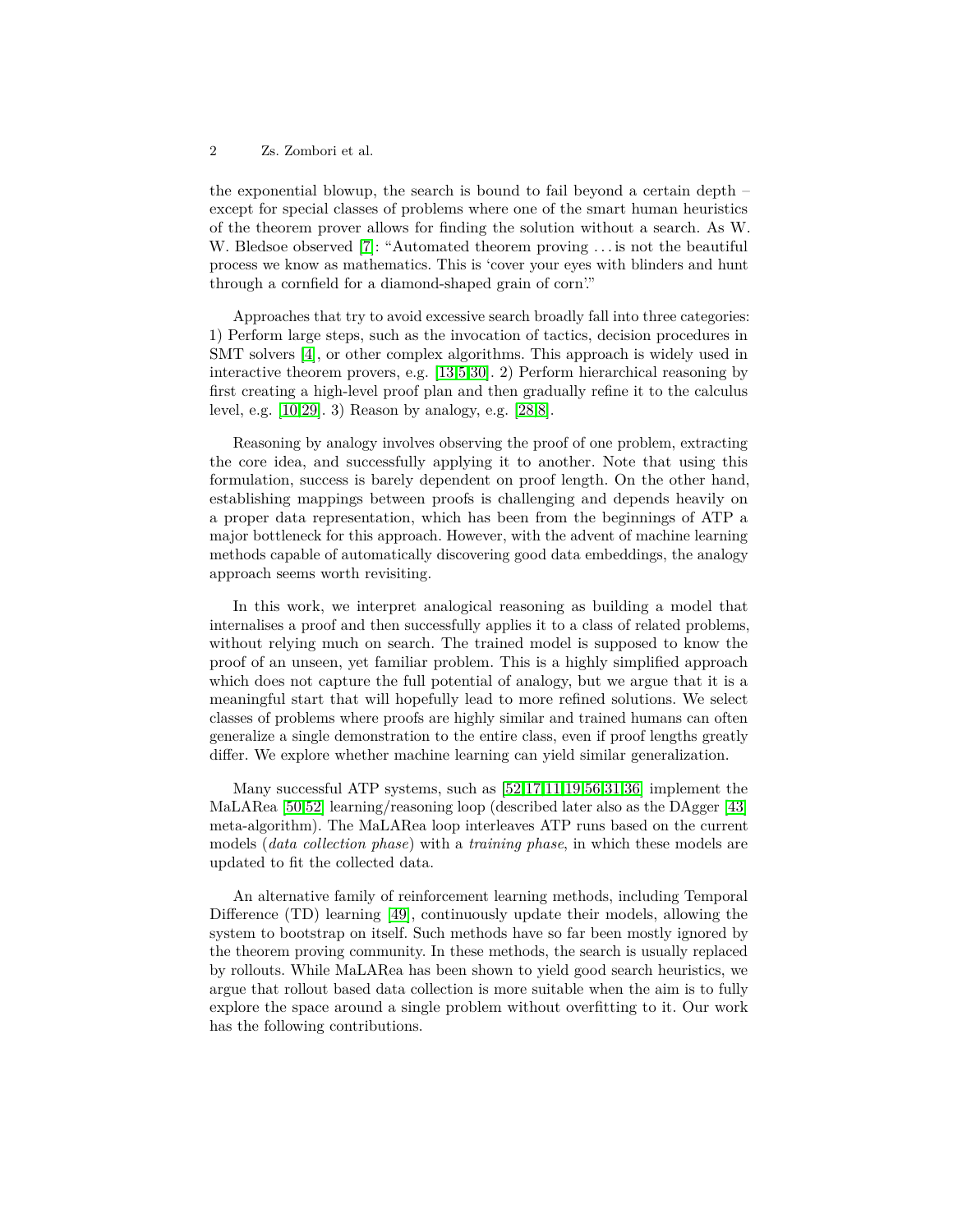the exponential blowup, the search is bound to fail beyond a certain depth – except for special classes of problems where one of the smart human heuristics of the theorem prover allows for finding the solution without a search. As W. W. Bledsoe observed [\[7\]](#page-16-0): "Automated theorem proving . . . is not the beautiful process we know as mathematics. This is 'cover your eyes with blinders and hunt through a cornfield for a diamond-shaped grain of corn'."

Approaches that try to avoid excessive search broadly fall into three categories: 1) Perform large steps, such as the invocation of tactics, decision procedures in SMT solvers [\[4\]](#page-16-1), or other complex algorithms. This approach is widely used in interactive theorem provers, e.g. [\[13,](#page-16-2)[5,](#page-16-3)[30\]](#page-18-0). 2) Perform hierarchical reasoning by first creating a high-level proof plan and then gradually refine it to the calculus level, e.g. [\[10](#page-16-4)[,29\]](#page-18-1). 3) Reason by analogy, e.g. [\[28,](#page-18-2)[8\]](#page-16-5).

Reasoning by analogy involves observing the proof of one problem, extracting the core idea, and successfully applying it to another. Note that using this formulation, success is barely dependent on proof length. On the other hand, establishing mappings between proofs is challenging and depends heavily on a proper data representation, which has been from the beginnings of ATP a major bottleneck for this approach. However, with the advent of machine learning methods capable of automatically discovering good data embeddings, the analogy approach seems worth revisiting.

In this work, we interpret analogical reasoning as building a model that internalises a proof and then successfully applies it to a class of related problems, without relying much on search. The trained model is supposed to know the proof of an unseen, yet familiar problem. This is a highly simplified approach which does not capture the full potential of analogy, but we argue that it is a meaningful start that will hopefully lead to more refined solutions. We select classes of problems where proofs are highly similar and trained humans can often generalize a single demonstration to the entire class, even if proof lengths greatly differ. We explore whether machine learning can yield similar generalization.

Many successful ATP systems, such as [\[52,](#page-19-0)[17](#page-17-0)[,11](#page-16-6)[,19](#page-17-1)[,56,](#page-19-1)[31,](#page-18-3)[36\]](#page-18-4) implement the MaLARea [\[50,](#page-19-2)[52\]](#page-19-0) learning/reasoning loop (described later also as the DAgger [\[43\]](#page-19-3) meta-algorithm). The MaLARea loop interleaves ATP runs based on the current models (*data collection phase*) with a *training phase*, in which these models are updated to fit the collected data.

An alternative family of reinforcement learning methods, including Temporal Difference (TD) learning [\[49\]](#page-19-4), continuously update their models, allowing the system to bootstrap on itself. Such methods have so far been mostly ignored by the theorem proving community. In these methods, the search is usually replaced by rollouts. While MaLARea has been shown to yield good search heuristics, we argue that rollout based data collection is more suitable when the aim is to fully explore the space around a single problem without overfitting to it. Our work has the following contributions.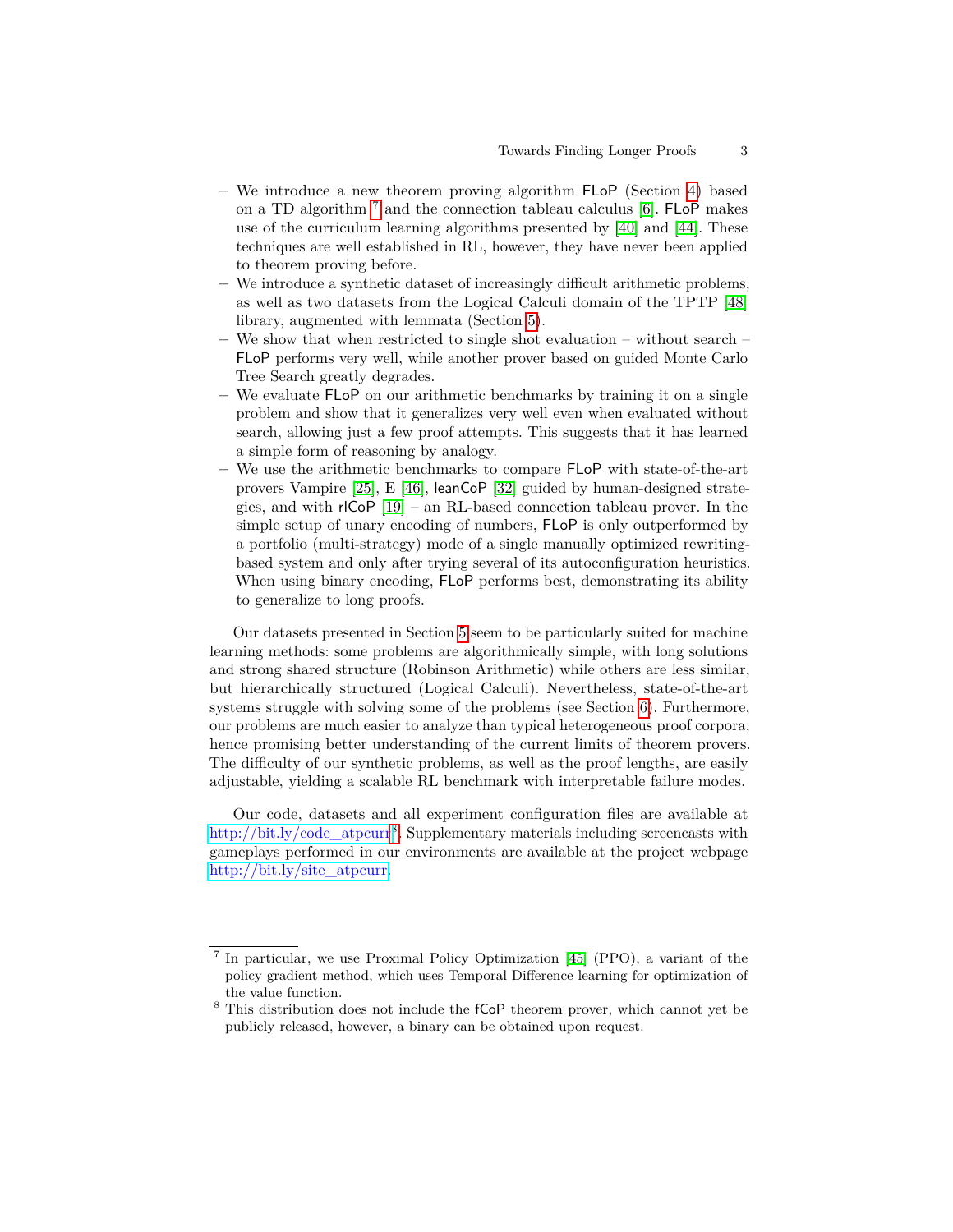- **–** We introduce a new theorem proving algorithm FLoP (Section [4\)](#page-5-0) based on a TD algorithm<sup>[7](#page-2-0)</sup> and the connection tableau calculus  $[6]$ . **FLoP** makes use of the curriculum learning algorithms presented by [\[40\]](#page-18-5) and [\[44\]](#page-19-5). These techniques are well established in RL, however, they have never been applied to theorem proving before.
- **–** We introduce a synthetic dataset of increasingly difficult arithmetic problems, as well as two datasets from the Logical Calculi domain of the TPTP [\[48\]](#page-19-6) library, augmented with lemmata (Section [5\)](#page-9-0).
- **–** We show that when restricted to single shot evaluation without search FLoP performs very well, while another prover based on guided Monte Carlo Tree Search greatly degrades.
- **–** We evaluate FLoP on our arithmetic benchmarks by training it on a single problem and show that it generalizes very well even when evaluated without search, allowing just a few proof attempts. This suggests that it has learned a simple form of reasoning by analogy.
- **–** We use the arithmetic benchmarks to compare FLoP with state-of-the-art provers Vampire [\[25\]](#page-17-2), E [\[46\]](#page-19-7), leanCoP [\[32\]](#page-18-6) guided by human-designed strategies, and with  $rC^{\text{D}}[19]$  $rC^{\text{D}}[19]$  – an RL-based connection tableau prover. In the simple setup of unary encoding of numbers, FLoP is only outperformed by a portfolio (multi-strategy) mode of a single manually optimized rewritingbased system and only after trying several of its autoconfiguration heuristics. When using binary encoding,  $F\text{LoP}$  performs best, demonstrating its ability to generalize to long proofs.

Our datasets presented in Section [5](#page-9-0) seem to be particularly suited for machine learning methods: some problems are algorithmically simple, with long solutions and strong shared structure (Robinson Arithmetic) while others are less similar, but hierarchically structured (Logical Calculi). Nevertheless, state-of-the-art systems struggle with solving some of the problems (see Section [6\)](#page-11-0). Furthermore, our problems are much easier to analyze than typical heterogeneous proof corpora, hence promising better understanding of the current limits of theorem provers. The difficulty of our synthetic problems, as well as the proof lengths, are easily adjustable, yielding a scalable RL benchmark with interpretable failure modes.

Our code, datasets and all experiment configuration files are available at http://bit*.[ly/code\\_atpcurr](http://bit.ly/code_atpcurr)<sup>[8](#page-2-1)</sup>*. Supplementary materials including screencasts with gameplays performed in our environments are available at the project webpage http://bit*.*[ly/site\\_atpcurr.](http://bit.ly/site_atpcurr)

<span id="page-2-0"></span><sup>&</sup>lt;sup>7</sup> In particular, we use Proximal Policy Optimization [\[45\]](#page-19-8) (PPO), a variant of the policy gradient method, which uses Temporal Difference learning for optimization of the value function.

<span id="page-2-1"></span> $^8$  This distribution does not include the  $\mathsf{fCoP}$  theorem prover, which cannot yet be publicly released, however, a binary can be obtained upon request.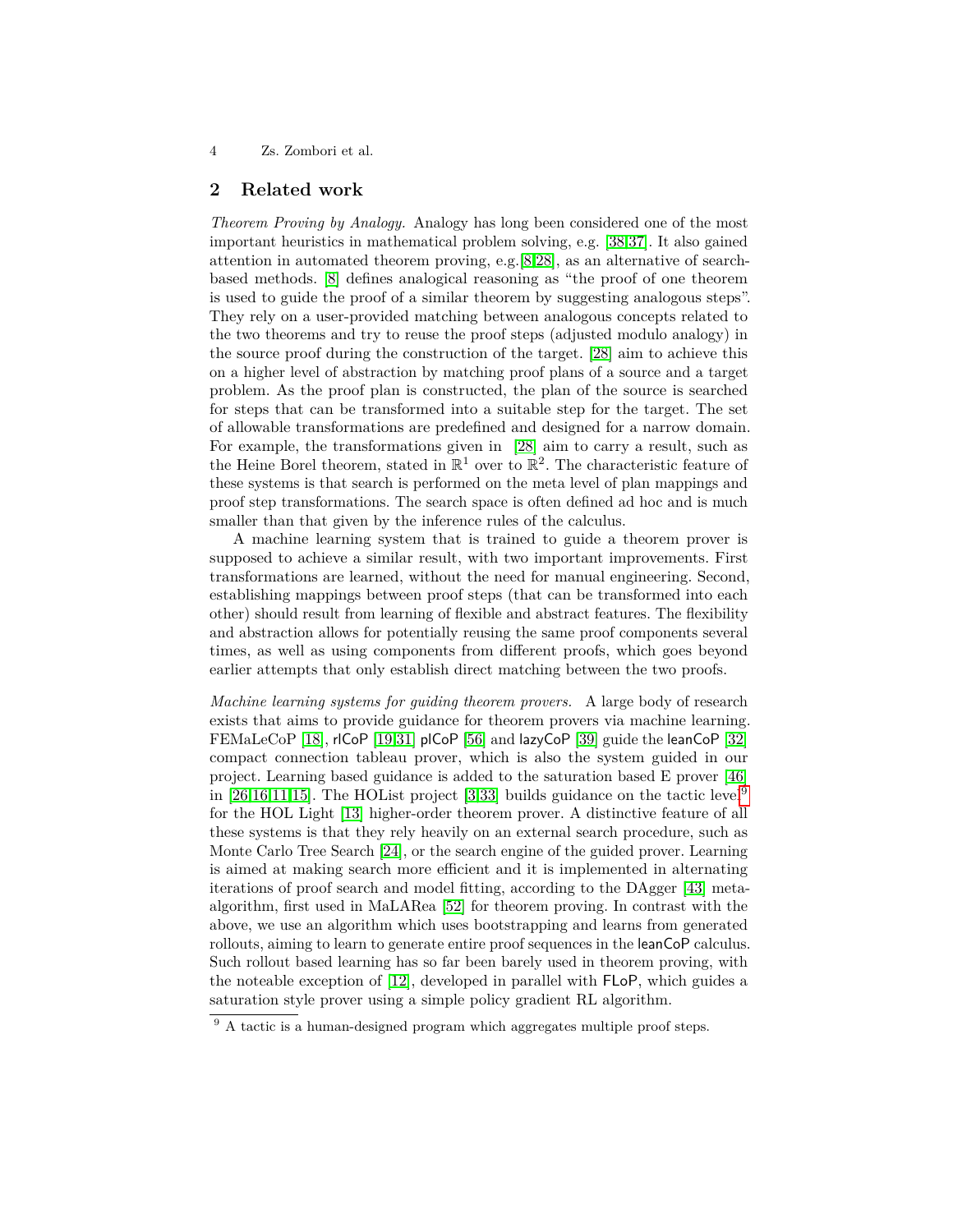### **2 Related work**

*Theorem Proving by Analogy.* Analogy has long been considered one of the most important heuristics in mathematical problem solving, e.g. [\[38](#page-18-7)[,37\]](#page-18-8). It also gained attention in automated theorem proving, e.g.[\[8,](#page-16-5)[28\]](#page-18-2), as an alternative of searchbased methods. [\[8\]](#page-16-5) defines analogical reasoning as "the proof of one theorem is used to guide the proof of a similar theorem by suggesting analogous steps". They rely on a user-provided matching between analogous concepts related to the two theorems and try to reuse the proof steps (adjusted modulo analogy) in the source proof during the construction of the target. [\[28\]](#page-18-2) aim to achieve this on a higher level of abstraction by matching proof plans of a source and a target problem. As the proof plan is constructed, the plan of the source is searched for steps that can be transformed into a suitable step for the target. The set of allowable transformations are predefined and designed for a narrow domain. For example, the transformations given in [\[28\]](#page-18-2) aim to carry a result, such as the Heine Borel theorem, stated in  $\mathbb{R}^1$  over to  $\mathbb{R}^2$ . The characteristic feature of these systems is that search is performed on the meta level of plan mappings and proof step transformations. The search space is often defined ad hoc and is much smaller than that given by the inference rules of the calculus.

A machine learning system that is trained to guide a theorem prover is supposed to achieve a similar result, with two important improvements. First transformations are learned, without the need for manual engineering. Second, establishing mappings between proof steps (that can be transformed into each other) should result from learning of flexible and abstract features. The flexibility and abstraction allows for potentially reusing the same proof components several times, as well as using components from different proofs, which goes beyond earlier attempts that only establish direct matching between the two proofs.

*Machine learning systems for guiding theorem provers.* A large body of research exists that aims to provide guidance for theorem provers via machine learning. FEMaLeCoP [\[18\]](#page-17-3), rlCoP [\[19](#page-17-1)[,31\]](#page-18-3) plCoP [\[56\]](#page-19-1) and lazyCoP [\[39\]](#page-18-9) guide the leanCoP [\[32\]](#page-18-6) compact connection tableau prover, which is also the system guided in our project. Learning based guidance is added to the saturation based E prover [\[46\]](#page-19-7) in [\[26](#page-17-4)[,16](#page-17-5)[,11,](#page-16-6)[15\]](#page-16-8). The HOList project [\[3,](#page-16-9)[33\]](#page-18-10) builds guidance on the tactic level<sup>[9](#page-3-0)</sup> for the HOL Light [\[13\]](#page-16-2) higher-order theorem prover. A distinctive feature of all these systems is that they rely heavily on an external search procedure, such as Monte Carlo Tree Search [\[24\]](#page-17-6), or the search engine of the guided prover. Learning is aimed at making search more efficient and it is implemented in alternating iterations of proof search and model fitting, according to the DAgger [\[43\]](#page-19-3) metaalgorithm, first used in MaLARea [\[52\]](#page-19-0) for theorem proving. In contrast with the above, we use an algorithm which uses bootstrapping and learns from generated rollouts, aiming to learn to generate entire proof sequences in the leanCoP calculus. Such rollout based learning has so far been barely used in theorem proving, with the noteable exception of [\[12\]](#page-16-10), developed in parallel with FLoP, which guides a saturation style prover using a simple policy gradient RL algorithm.

<span id="page-3-0"></span><sup>&</sup>lt;sup>9</sup> A tactic is a human-designed program which aggregates multiple proof steps.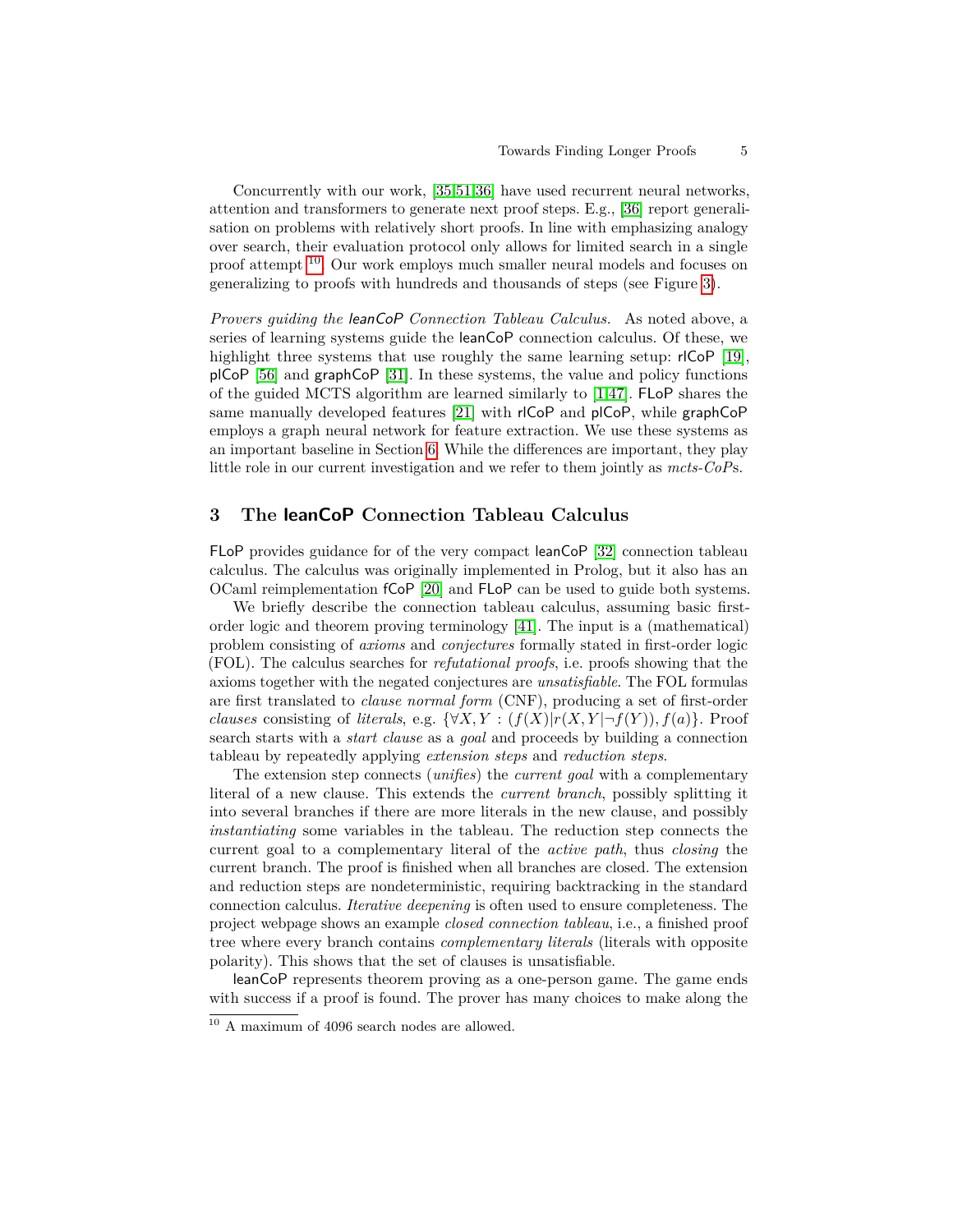Concurrently with our work, [\[35](#page-18-11)[,51,](#page-19-9)[36\]](#page-18-4) have used recurrent neural networks, attention and transformers to generate next proof steps. E.g., [\[36\]](#page-18-4) report generalisation on problems with relatively short proofs. In line with emphasizing analogy over search, their evaluation protocol only allows for limited search in a single proof attempt [10](#page-4-0). Our work employs much smaller neural models and focuses on generalizing to proofs with hundreds and thousands of steps (see Figure [3\)](#page-12-0).

*Provers guiding the* leanCoP *Connection Tableau Calculus.* As noted above, a series of learning systems guide the leanCoP connection calculus. Of these, we highlight three systems that use roughly the same learning setup:  $r\text{COP}$  [\[19\]](#page-17-1), plCoP [\[56\]](#page-19-1) and graphCoP [\[31\]](#page-18-3). In these systems, the value and policy functions of the guided MCTS algorithm are learned similarly to [\[1](#page-16-11)[,47\]](#page-19-10). FLoP shares the same manually developed features [\[21\]](#page-17-7) with rlCoP and plCoP, while graphCoP employs a graph neural network for feature extraction. We use these systems as an important baseline in Section [6.](#page-11-0) While the differences are important, they play little role in our current investigation and we refer to them jointly as *mcts-CoP*s.

## **3 The leanCoP Connection Tableau Calculus**

FLoP provides guidance for of the very compact leanCoP [\[32\]](#page-18-6) connection tableau calculus. The calculus was originally implemented in Prolog, but it also has an OCaml reimplementation fCoP [\[20\]](#page-17-8) and FLoP can be used to guide both systems.

We briefly describe the connection tableau calculus, assuming basic firstorder logic and theorem proving terminology [\[41\]](#page-18-12). The input is a (mathematical) problem consisting of *axioms* and *conjectures* formally stated in first-order logic (FOL). The calculus searches for *refutational proofs*, i.e. proofs showing that the axioms together with the negated conjectures are *unsatisfiable*. The FOL formulas are first translated to *clause normal form* (CNF), producing a set of first-order *clauses* consisting of *literals*, e.g.  $\{\forall X, Y : (f(X)|r(X,Y|\neg f(Y)), f(a)\}$ . Proof search starts with a *start clause* as a *goal* and proceeds by building a connection tableau by repeatedly applying *extension steps* and *reduction steps*.

The extension step connects (*unifies*) the *current goal* with a complementary literal of a new clause. This extends the *current branch*, possibly splitting it into several branches if there are more literals in the new clause, and possibly *instantiating* some variables in the tableau. The reduction step connects the current goal to a complementary literal of the *active path*, thus *closing* the current branch. The proof is finished when all branches are closed. The extension and reduction steps are nondeterministic, requiring backtracking in the standard connection calculus. *Iterative deepening* is often used to ensure completeness. The project webpage shows an example *closed connection tableau*, i.e., a finished proof tree where every branch contains *complementary literals* (literals with opposite polarity). This shows that the set of clauses is unsatisfiable.

leanCoP represents theorem proving as a one-person game. The game ends with success if a proof is found. The prover has many choices to make along the

<span id="page-4-0"></span> $^{10}$  A maximum of 4096 search nodes are allowed.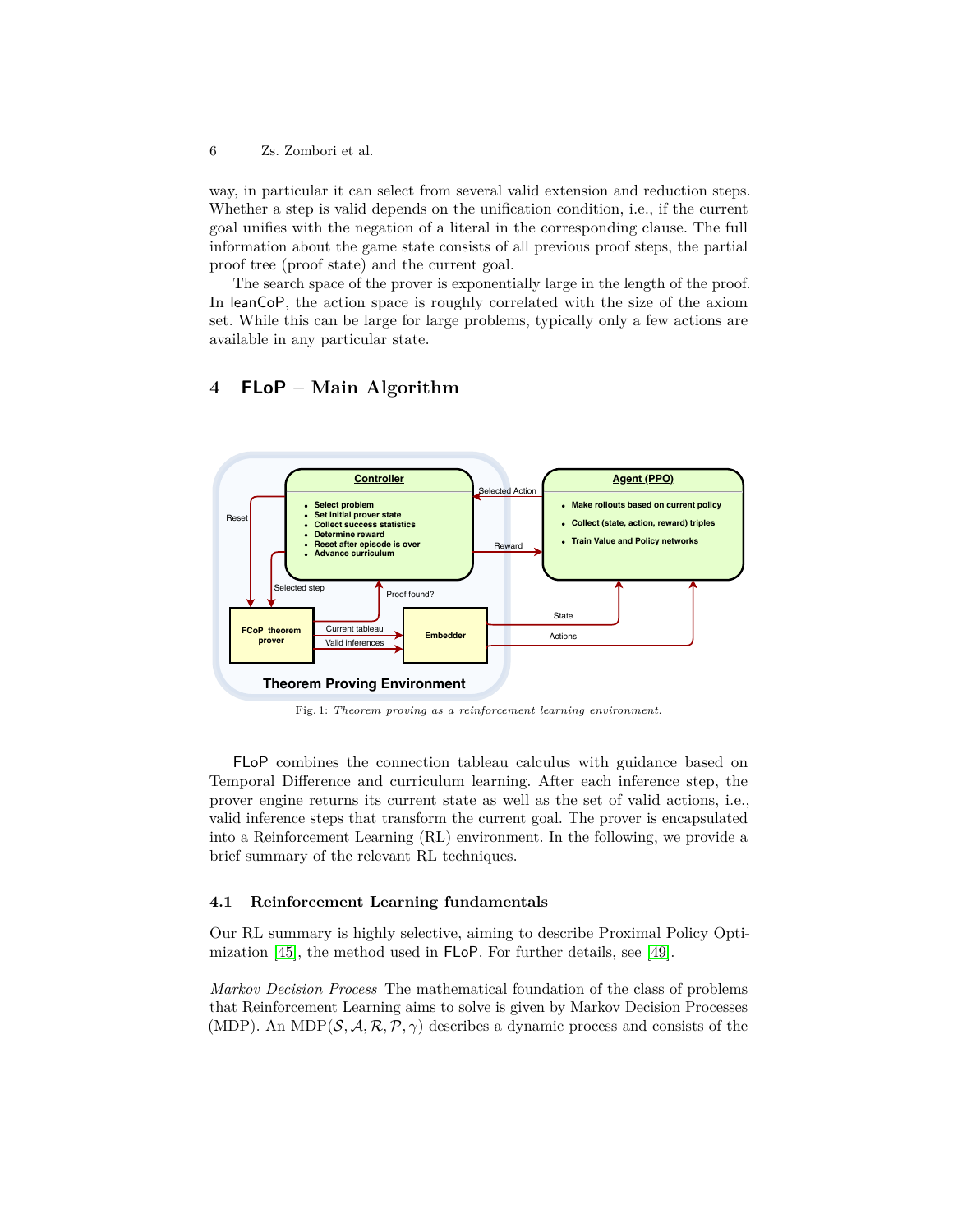way, in particular it can select from several valid extension and reduction steps. Whether a step is valid depends on the unification condition, i.e., if the current goal unifies with the negation of a literal in the corresponding clause. The full information about the game state consists of all previous proof steps, the partial proof tree (proof state) and the current goal.

The search space of the prover is exponentially large in the length of the proof. In leanCoP, the action space is roughly correlated with the size of the axiom set. While this can be large for large problems, typically only a few actions are available in any particular state.

<span id="page-5-1"></span>

## <span id="page-5-0"></span>**4 FLoP – Main Algorithm**

Fig. 1: *Theorem proving as a reinforcement learning environment.*

FLoP combines the connection tableau calculus with guidance based on Temporal Difference and curriculum learning. After each inference step, the prover engine returns its current state as well as the set of valid actions, i.e., valid inference steps that transform the current goal. The prover is encapsulated into a Reinforcement Learning (RL) environment. In the following, we provide a brief summary of the relevant RL techniques.

### **4.1 Reinforcement Learning fundamentals**

Our RL summary is highly selective, aiming to describe Proximal Policy Optimization [\[45\]](#page-19-8), the method used in FLoP. For further details, see [\[49\]](#page-19-4).

*Markov Decision Process* The mathematical foundation of the class of problems that Reinforcement Learning aims to solve is given by Markov Decision Processes (MDP). An MDP( $S, A, R, P, \gamma$ ) describes a dynamic process and consists of the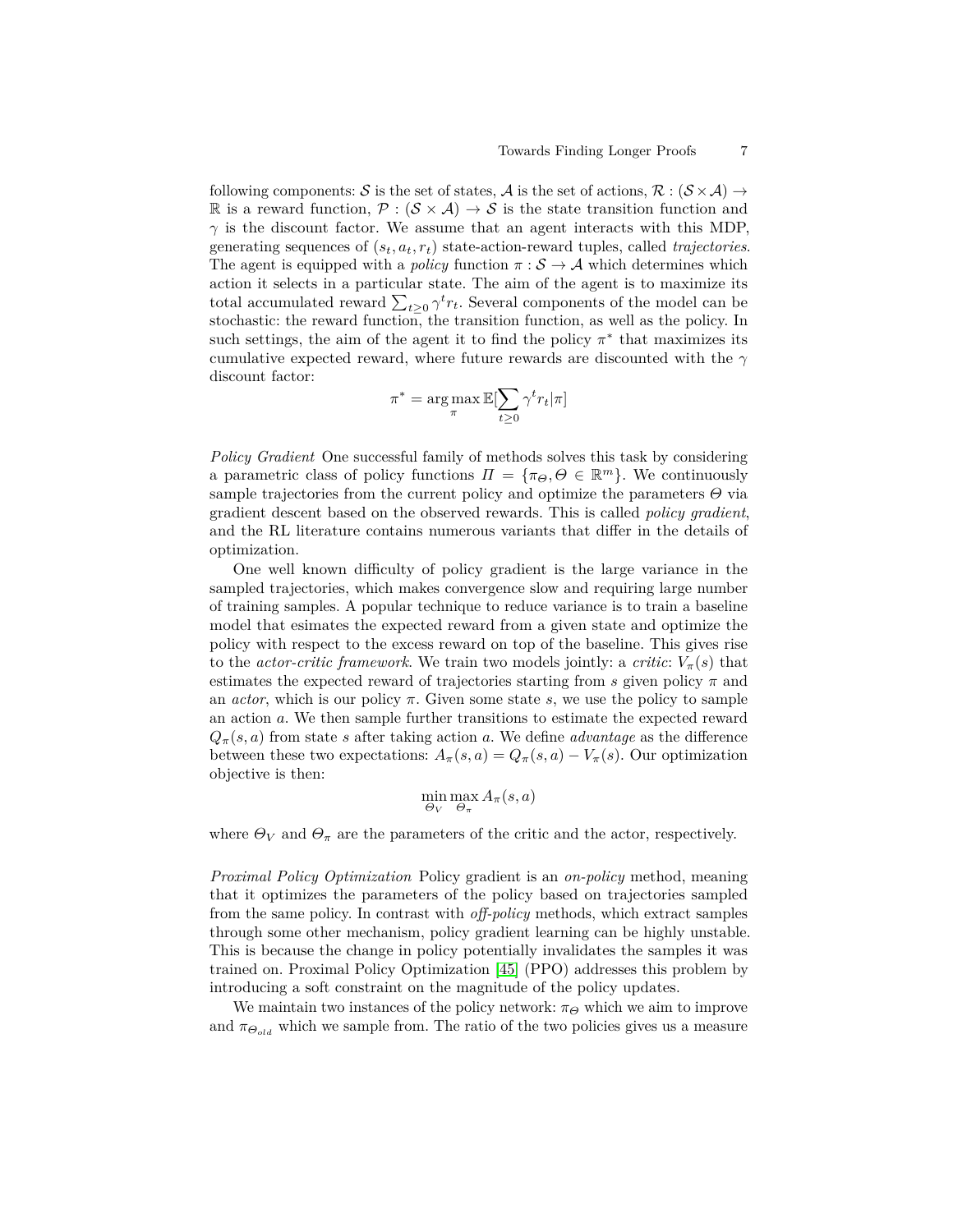following components: S is the set of states, A is the set of actions,  $\mathcal{R} : (\mathcal{S} \times \mathcal{A}) \rightarrow$ R is a reward function,  $\mathcal{P}: (\mathcal{S} \times \mathcal{A}) \to \mathcal{S}$  is the state transition function and  $\gamma$  is the discount factor. We assume that an agent interacts with this MDP, generating sequences of (*st, at, rt*) state-action-reward tuples, called *trajectories*. The agent is equipped with a *policy* function  $\pi : \mathcal{S} \to \mathcal{A}$  which determines which action it selects in a particular state. The aim of the agent is to maximize its total accumulated reward  $\sum_{t\geq 0} \gamma^t r_t$ . Several components of the model can be stochastic: the reward function, the transition function, as well as the policy. In such settings, the aim of the agent it to find the policy  $\pi^*$  that maximizes its cumulative expected reward, where future rewards are discounted with the *γ* discount factor:

$$
\pi^* = \arg\max_{\pi} \mathbb{E}[\sum_{t \ge 0} \gamma^t r_t | \pi]
$$

*Policy Gradient* One successful family of methods solves this task by considering a parametric class of policy functions  $\Pi = {\pi_{\Theta}, \Theta \in \mathbb{R}^m}$ . We continuously sample trajectories from the current policy and optimize the parameters *Θ* via gradient descent based on the observed rewards. This is called *policy gradient*, and the RL literature contains numerous variants that differ in the details of optimization.

One well known difficulty of policy gradient is the large variance in the sampled trajectories, which makes convergence slow and requiring large number of training samples. A popular technique to reduce variance is to train a baseline model that esimates the expected reward from a given state and optimize the policy with respect to the excess reward on top of the baseline. This gives rise to the *actor-critic framework*. We train two models jointly: a *critic*:  $V_\pi(s)$  that estimates the expected reward of trajectories starting from *s* given policy  $\pi$  and an *actor*, which is our policy  $\pi$ . Given some state *s*, we use the policy to sample an action *a*. We then sample further transitions to estimate the expected reward  $Q_{\pi}(s, a)$  from state *s* after taking action *a*. We define *advantage* as the difference between these two expectations:  $A_{\pi}(s, a) = Q_{\pi}(s, a) - V_{\pi}(s)$ . Our optimization objective is then:

$$
\min_{\Theta_V} \max_{\Theta_{\pi}} A_{\pi}(s, a)
$$

where  $\Theta_V$  and  $\Theta_\pi$  are the parameters of the critic and the actor, respectively.

*Proximal Policy Optimization* Policy gradient is an *on-policy* method, meaning that it optimizes the parameters of the policy based on trajectories sampled from the same policy. In contrast with *off-policy* methods, which extract samples through some other mechanism, policy gradient learning can be highly unstable. This is because the change in policy potentially invalidates the samples it was trained on. Proximal Policy Optimization [\[45\]](#page-19-8) (PPO) addresses this problem by introducing a soft constraint on the magnitude of the policy updates.

We maintain two instances of the policy network:  $\pi_{\Theta}$  which we aim to improve and  $\pi_{\Theta_{old}}$  which we sample from. The ratio of the two policies gives us a measure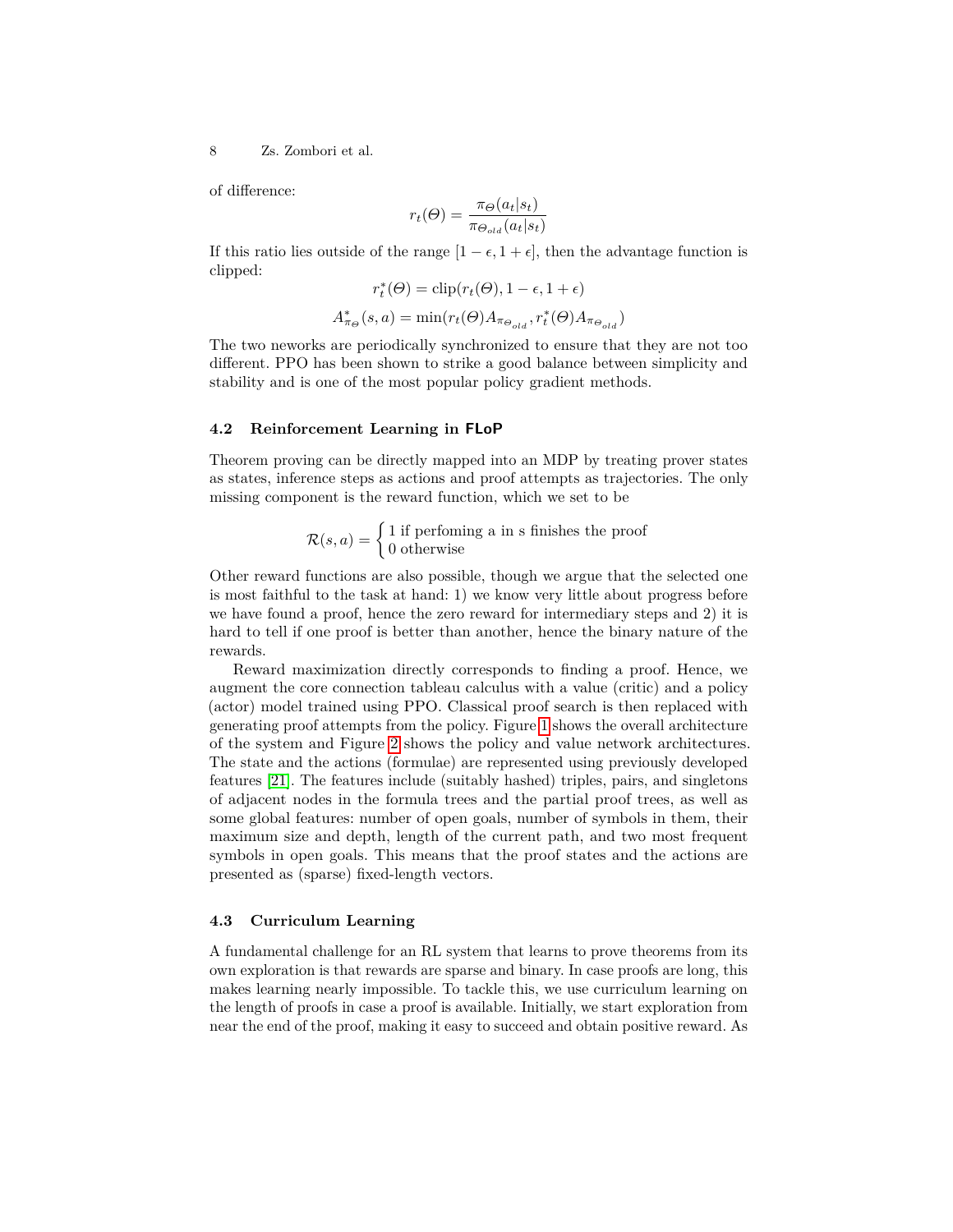of difference:

$$
r_t(\Theta) = \frac{\pi_{\Theta}(a_t|s_t)}{\pi_{\Theta_{old}}(a_t|s_t)}
$$

If this ratio lies outside of the range  $[1 - \epsilon, 1 + \epsilon]$ , then the advantage function is clipped:

$$
r_t^*(\Theta) = \text{clip}(r_t(\Theta), 1 - \epsilon, 1 + \epsilon)
$$

$$
A_{\pi_{\Theta}}^*(s, a) = \min(r_t(\Theta)A_{\pi_{\Theta_{old}}}, r_t^*(\Theta)A_{\pi_{\Theta_{old}}})
$$

The two neworks are periodically synchronized to ensure that they are not too different. PPO has been shown to strike a good balance between simplicity and stability and is one of the most popular policy gradient methods.

#### **4.2 Reinforcement Learning in FLoP**

Theorem proving can be directly mapped into an MDP by treating prover states as states, inference steps as actions and proof attempts as trajectories. The only missing component is the reward function, which we set to be

$$
\mathcal{R}(s, a) = \begin{cases} 1 \text{ if performing a in s finishes the proof} \\ 0 \text{ otherwise} \end{cases}
$$

Other reward functions are also possible, though we argue that the selected one is most faithful to the task at hand: 1) we know very little about progress before we have found a proof, hence the zero reward for intermediary steps and 2) it is hard to tell if one proof is better than another, hence the binary nature of the rewards.

Reward maximization directly corresponds to finding a proof. Hence, we augment the core connection tableau calculus with a value (critic) and a policy (actor) model trained using PPO. Classical proof search is then replaced with generating proof attempts from the policy. Figure [1](#page-5-1) shows the overall architecture of the system and Figure [2](#page-8-0) shows the policy and value network architectures. The state and the actions (formulae) are represented using previously developed features [\[21\]](#page-17-7). The features include (suitably hashed) triples, pairs, and singletons of adjacent nodes in the formula trees and the partial proof trees, as well as some global features: number of open goals, number of symbols in them, their maximum size and depth, length of the current path, and two most frequent symbols in open goals. This means that the proof states and the actions are presented as (sparse) fixed-length vectors.

#### **4.3 Curriculum Learning**

A fundamental challenge for an RL system that learns to prove theorems from its own exploration is that rewards are sparse and binary. In case proofs are long, this makes learning nearly impossible. To tackle this, we use curriculum learning on the length of proofs in case a proof is available. Initially, we start exploration from near the end of the proof, making it easy to succeed and obtain positive reward. As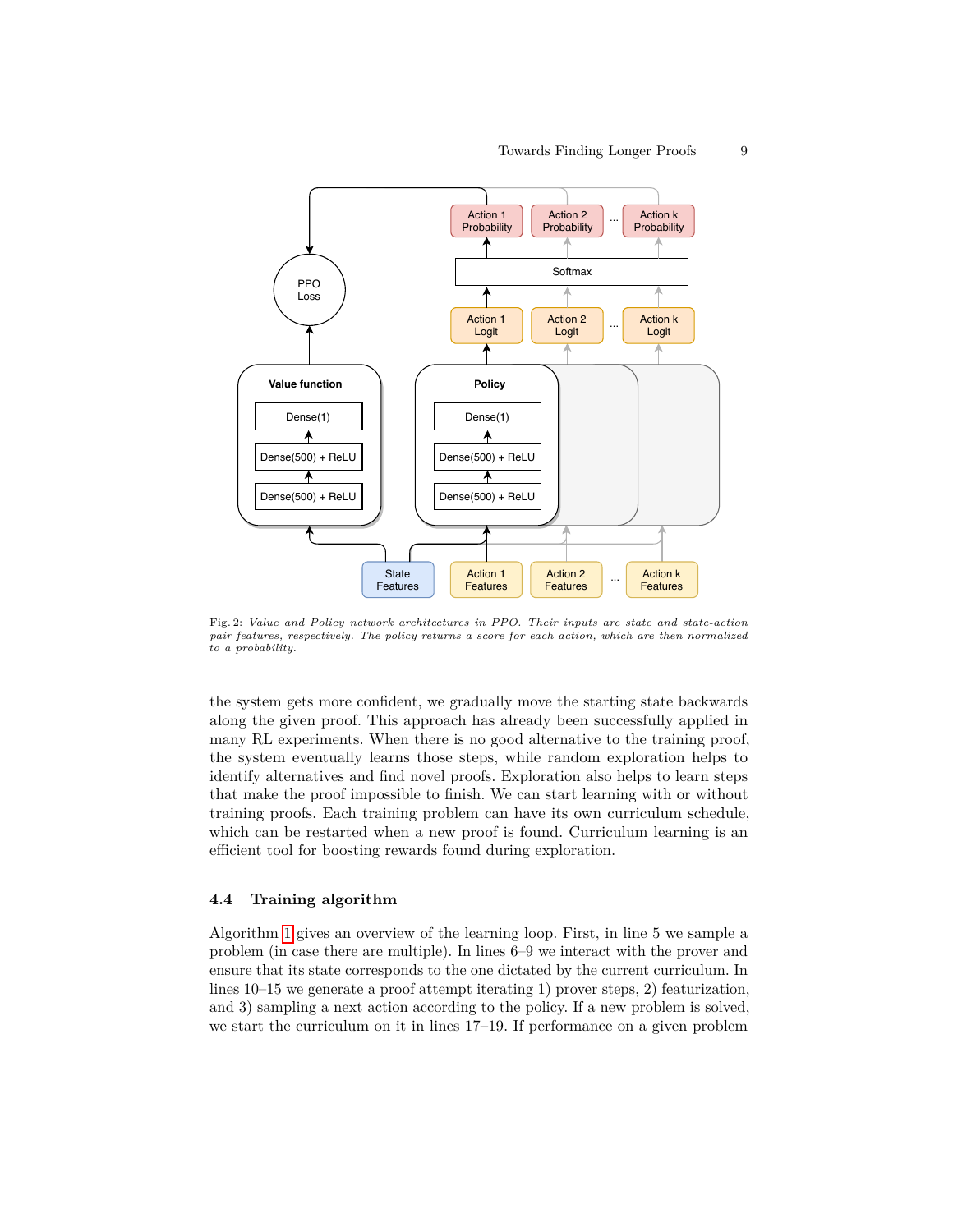<span id="page-8-0"></span>

Fig. 2: *Value and Policy network architectures in PPO. Their inputs are state and state-action pair features, respectively. The policy returns a score for each action, which are then normalized to a probability.*

the system gets more confident, we gradually move the starting state backwards along the given proof. This approach has already been successfully applied in many RL experiments. When there is no good alternative to the training proof, the system eventually learns those steps, while random exploration helps to identify alternatives and find novel proofs. Exploration also helps to learn steps that make the proof impossible to finish. We can start learning with or without training proofs. Each training problem can have its own curriculum schedule, which can be restarted when a new proof is found. Curriculum learning is an efficient tool for boosting rewards found during exploration.

#### **4.4 Training algorithm**

Algorithm [1](#page-9-1) gives an overview of the learning loop. First, in line 5 we sample a problem (in case there are multiple). In lines 6–9 we interact with the prover and ensure that its state corresponds to the one dictated by the current curriculum. In lines 10–15 we generate a proof attempt iterating 1) prover steps, 2) featurization, and 3) sampling a next action according to the policy. If a new problem is solved, we start the curriculum on it in lines 17–19. If performance on a given problem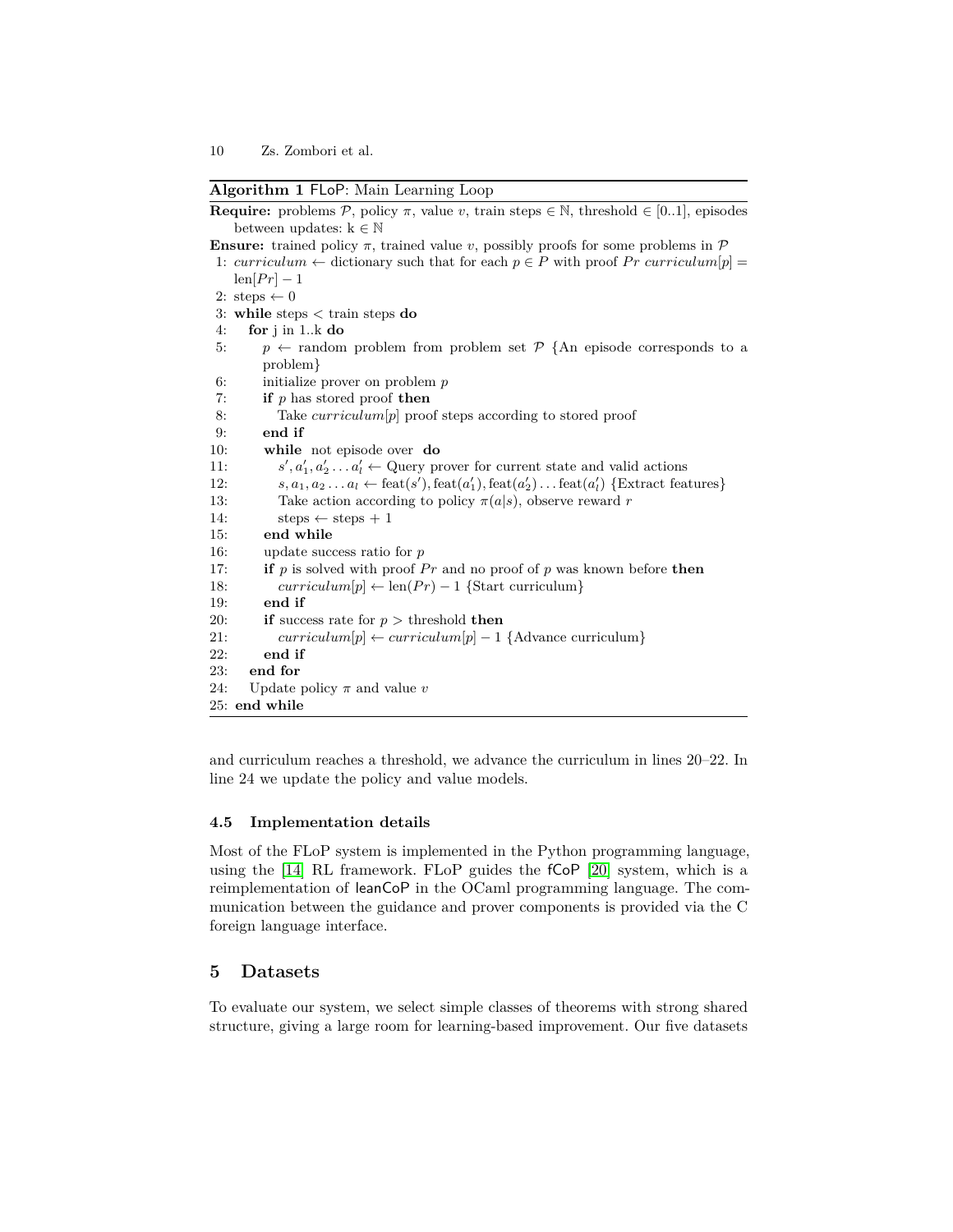<span id="page-9-1"></span>**Algorithm 1** FLoP: Main Learning Loop

| <b>Require:</b> problems P, policy $\pi$ , value v, train steps $\in \mathbb{N}$ , threshold $\in [01]$ , episodes                                   |
|------------------------------------------------------------------------------------------------------------------------------------------------------|
| between updates: $k \in \mathbb{N}$                                                                                                                  |
| <b>Ensure:</b> trained policy $\pi$ , trained value v, possibly proofs for some problems in $\mathcal{P}$                                            |
| 1: curriculum $\leftarrow$ dictionary such that for each $p \in P$ with proof Pr curriculum $[p] =$                                                  |
| $\operatorname{len}[Pr]-1$                                                                                                                           |
| 2: steps $\leftarrow 0$                                                                                                                              |
| 3: while steps $\lt$ train steps do                                                                                                                  |
| 4:<br>for $j$ in 1k do                                                                                                                               |
| $p \leftarrow$ random problem from problem set $P$ {An episode corresponds to a<br>5:                                                                |
| $problem\}$                                                                                                                                          |
| 6:<br>initialize prover on problem $p$                                                                                                               |
| 7:<br>if $p$ has stored proof then                                                                                                                   |
| 8:<br>Take $curriculum p $ proof steps according to stored proof                                                                                     |
| 9:<br>end if                                                                                                                                         |
| 10:<br>while not episode over do                                                                                                                     |
| $s', a'_1, a'_2 \dots a'_l \leftarrow$ Query prover for current state and valid actions<br>11:                                                       |
| $s, a_1, a_2 \ldots a_l \leftarrow \text{feat}(s'), \text{feat}(a'_1), \text{feat}(a'_2) \ldots \text{feat}(a'_l) \text{ {Extract features}}$<br>12: |
| Take action according to policy $\pi(a s)$ , observe reward r<br>13:                                                                                 |
| 14:<br>steps $\leftarrow$ steps + 1                                                                                                                  |
| 15:<br>end while                                                                                                                                     |
| 16:<br>update success ratio for $p$                                                                                                                  |
| if p is solved with proof $Pr$ and no proof of p was known before then<br>17:                                                                        |
| $curriculum[p] \leftarrow \text{len}(Pr) - 1 \{\text{Start curriculum}\}\$<br>18:                                                                    |
| end if<br>19:                                                                                                                                        |
| 20:<br>if success rate for $p >$ threshold then                                                                                                      |
| 21:<br>$curriculum[p] \leftarrow curriculum[p] - 1$ {Advance curriculum}                                                                             |
| 22:<br>end if                                                                                                                                        |
| 23:<br>end for                                                                                                                                       |
| Update policy $\pi$ and value v<br>24:                                                                                                               |
| 25: end while                                                                                                                                        |

and curriculum reaches a threshold, we advance the curriculum in lines 20–22. In line 24 we update the policy and value models.

### **4.5 Implementation details**

Most of the FLoP system is implemented in the Python programming language, using the [\[14\]](#page-16-12) RL framework. FLoP guides the fCoP [\[20\]](#page-17-8) system, which is a reimplementation of leanCoP in the OCaml programming language. The communication between the guidance and prover components is provided via the C foreign language interface.

## <span id="page-9-0"></span>**5 Datasets**

To evaluate our system, we select simple classes of theorems with strong shared structure, giving a large room for learning-based improvement. Our five datasets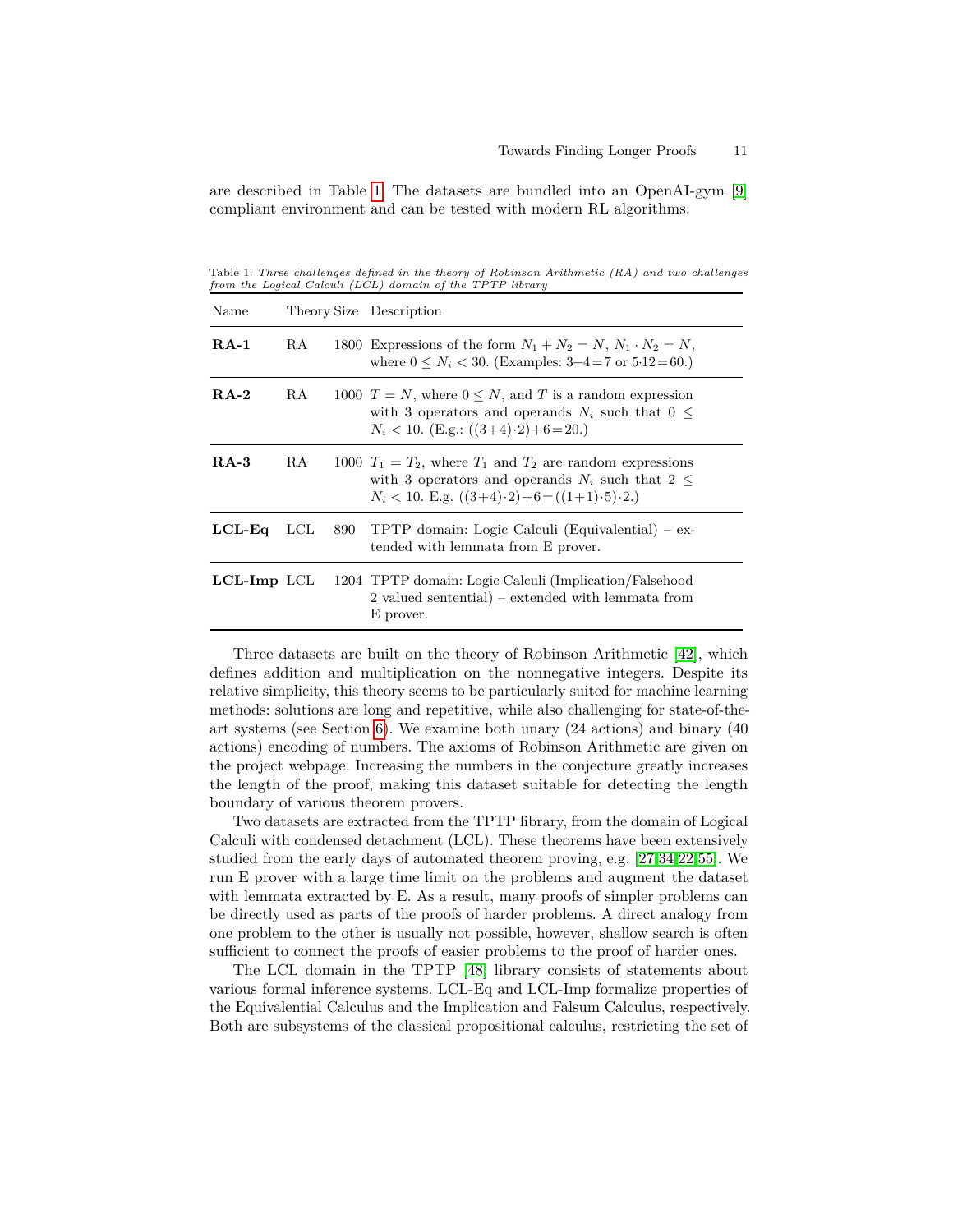are described in Table [1.](#page-10-0) The datasets are bundled into an OpenAI-gym [\[9\]](#page-16-13) compliant environment and can be tested with modern RL algorithms.

<span id="page-10-0"></span>Table 1: *Three challenges defined in the theory of Robinson Arithmetic (RA) and two challenges from the Logical Calculi (LCL) domain of the TPTP library*

| Name            |     |     | Theory Size Description                                                                                                                                                              |
|-----------------|-----|-----|--------------------------------------------------------------------------------------------------------------------------------------------------------------------------------------|
| $R.A-1$         | RA  |     | 1800 Expressions of the form $N_1 + N_2 = N$ , $N_1 \cdot N_2 = N$ ,<br>where $0 \le N_i \le 30$ . (Examples: 3+4=7 or 5.12=60.)                                                     |
| $R.A-2$         | RA  |     | 1000 $T = N$ , where $0 \leq N$ , and T is a random expression<br>with 3 operators and operands $N_i$ such that $0 \leq$<br>$N_i < 10.$ (E.g.: $((3+4)\cdot 2)+6=20.$ )              |
| $R.A-3$         | RA  |     | 1000 $T_1 = T_2$ , where $T_1$ and $T_2$ are random expressions<br>with 3 operators and operands $N_i$ such that 2 <<br>$N_i < 10$ . E.g. $((3+4)\cdot 2)+6=((1+1)\cdot 5)\cdot 2$ . |
| $LCL-Eq$        | LCL | 890 | $TPTP$ domain: Logic Calculi (Equivalential) – ex-<br>tended with lemmata from E prover.                                                                                             |
| $LCL-Imp$ $LCL$ |     |     | 1204 TPTP domain: Logic Calculi (Implication/Falsehood<br>$2$ valued sentential) – extended with lemmata from<br>E prover.                                                           |

Three datasets are built on the theory of Robinson Arithmetic [\[42\]](#page-18-13), which defines addition and multiplication on the nonnegative integers. Despite its relative simplicity, this theory seems to be particularly suited for machine learning methods: solutions are long and repetitive, while also challenging for state-of-theart systems (see Section [6\)](#page-11-0). We examine both unary (24 actions) and binary (40 actions) encoding of numbers. The axioms of Robinson Arithmetic are given on the project webpage. Increasing the numbers in the conjecture greatly increases the length of the proof, making this dataset suitable for detecting the length boundary of various theorem provers.

Two datasets are extracted from the TPTP library, from the domain of Logical Calculi with condensed detachment (LCL). These theorems have been extensively studied from the early days of automated theorem proving, e.g. [\[27](#page-17-9)[,34](#page-18-14)[,22,](#page-17-10)[55\]](#page-19-11). We run E prover with a large time limit on the problems and augment the dataset with lemmata extracted by E. As a result, many proofs of simpler problems can be directly used as parts of the proofs of harder problems. A direct analogy from one problem to the other is usually not possible, however, shallow search is often sufficient to connect the proofs of easier problems to the proof of harder ones.

The LCL domain in the TPTP [\[48\]](#page-19-6) library consists of statements about various formal inference systems. LCL-Eq and LCL-Imp formalize properties of the Equivalential Calculus and the Implication and Falsum Calculus, respectively. Both are subsystems of the classical propositional calculus, restricting the set of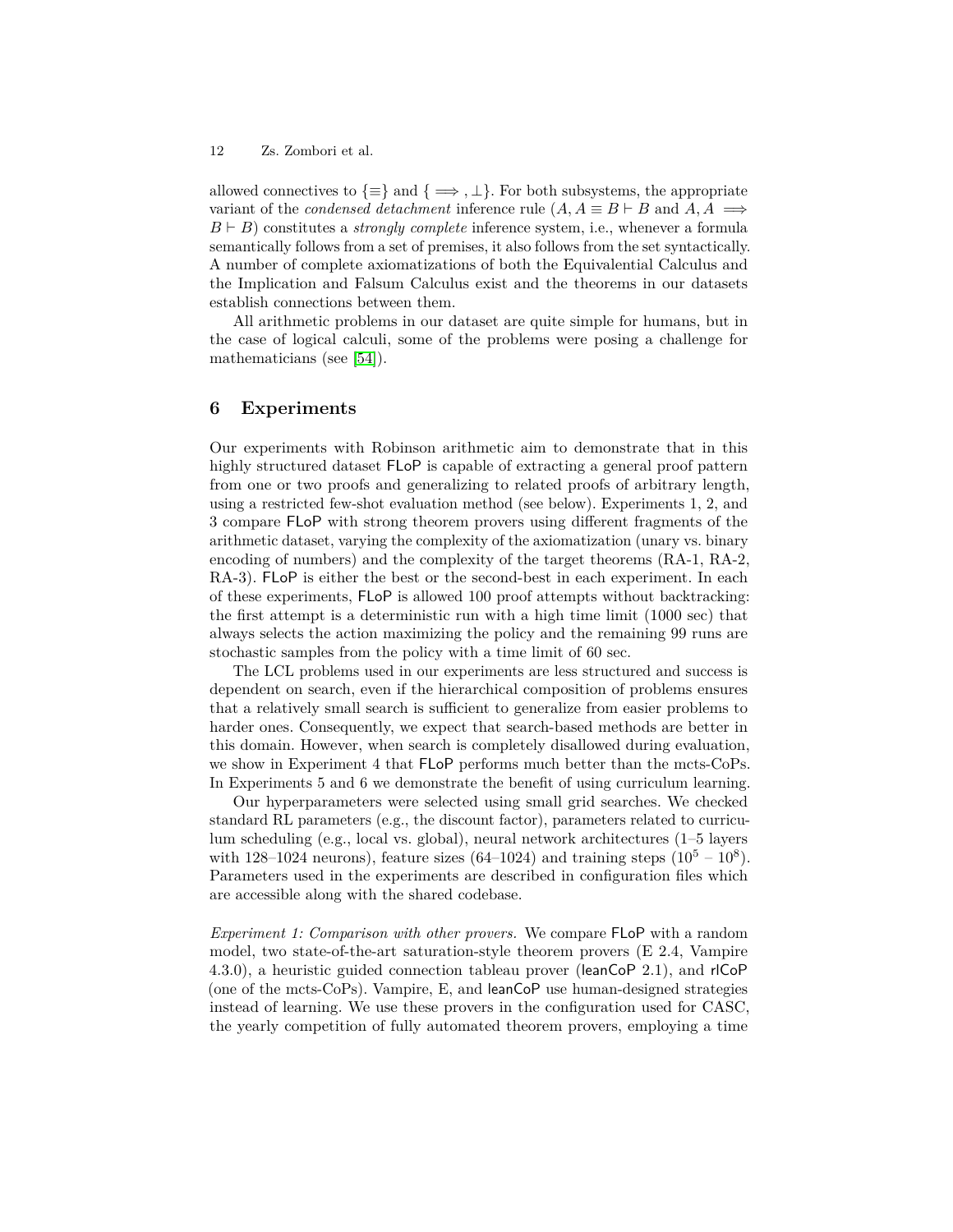allowed connectives to  $\{\equiv\}$  and  $\{\Longrightarrow$ ,  $\perp\}$ . For both subsystems, the appropriate variant of the *condensed detachment* inference rule  $(A, A \equiv B \vdash B \text{ and } A, A \implies$  $B \vdash B$ ) constitutes a *strongly complete* inference system, i.e., whenever a formula semantically follows from a set of premises, it also follows from the set syntactically. A number of complete axiomatizations of both the Equivalential Calculus and the Implication and Falsum Calculus exist and the theorems in our datasets establish connections between them.

All arithmetic problems in our dataset are quite simple for humans, but in the case of logical calculi, some of the problems were posing a challenge for mathematicians (see [\[54\]](#page-19-12)).

## <span id="page-11-0"></span>**6 Experiments**

Our experiments with Robinson arithmetic aim to demonstrate that in this highly structured dataset **FLoP** is capable of extracting a general proof pattern from one or two proofs and generalizing to related proofs of arbitrary length, using a restricted few-shot evaluation method (see below). Experiments 1, 2, and 3 compare FLoP with strong theorem provers using different fragments of the arithmetic dataset, varying the complexity of the axiomatization (unary vs. binary encoding of numbers) and the complexity of the target theorems (RA-1, RA-2, RA-3). FLoP is either the best or the second-best in each experiment. In each of these experiments, FLoP is allowed 100 proof attempts without backtracking: the first attempt is a deterministic run with a high time limit (1000 sec) that always selects the action maximizing the policy and the remaining 99 runs are stochastic samples from the policy with a time limit of 60 sec.

The LCL problems used in our experiments are less structured and success is dependent on search, even if the hierarchical composition of problems ensures that a relatively small search is sufficient to generalize from easier problems to harder ones. Consequently, we expect that search-based methods are better in this domain. However, when search is completely disallowed during evaluation, we show in Experiment 4 that FLoP performs much better than the mcts-CoPs. In Experiments 5 and 6 we demonstrate the benefit of using curriculum learning.

Our hyperparameters were selected using small grid searches. We checked standard RL parameters (e.g., the discount factor), parameters related to curriculum scheduling (e.g., local vs. global), neural network architectures (1–5 layers with 128-1024 neurons), feature sizes  $(64-1024)$  and training steps  $(10^5 - 10^8)$ . Parameters used in the experiments are described in configuration files which are accessible along with the shared codebase.

*Experiment 1: Comparison with other provers.* We compare FLoP with a random model, two state-of-the-art saturation-style theorem provers (E 2.4, Vampire 4.3.0), a heuristic guided connection tableau prover (leanCoP 2.1), and rlCoP (one of the mcts-CoPs). Vampire, E, and leanCoP use human-designed strategies instead of learning. We use these provers in the configuration used for CASC, the yearly competition of fully automated theorem provers, employing a time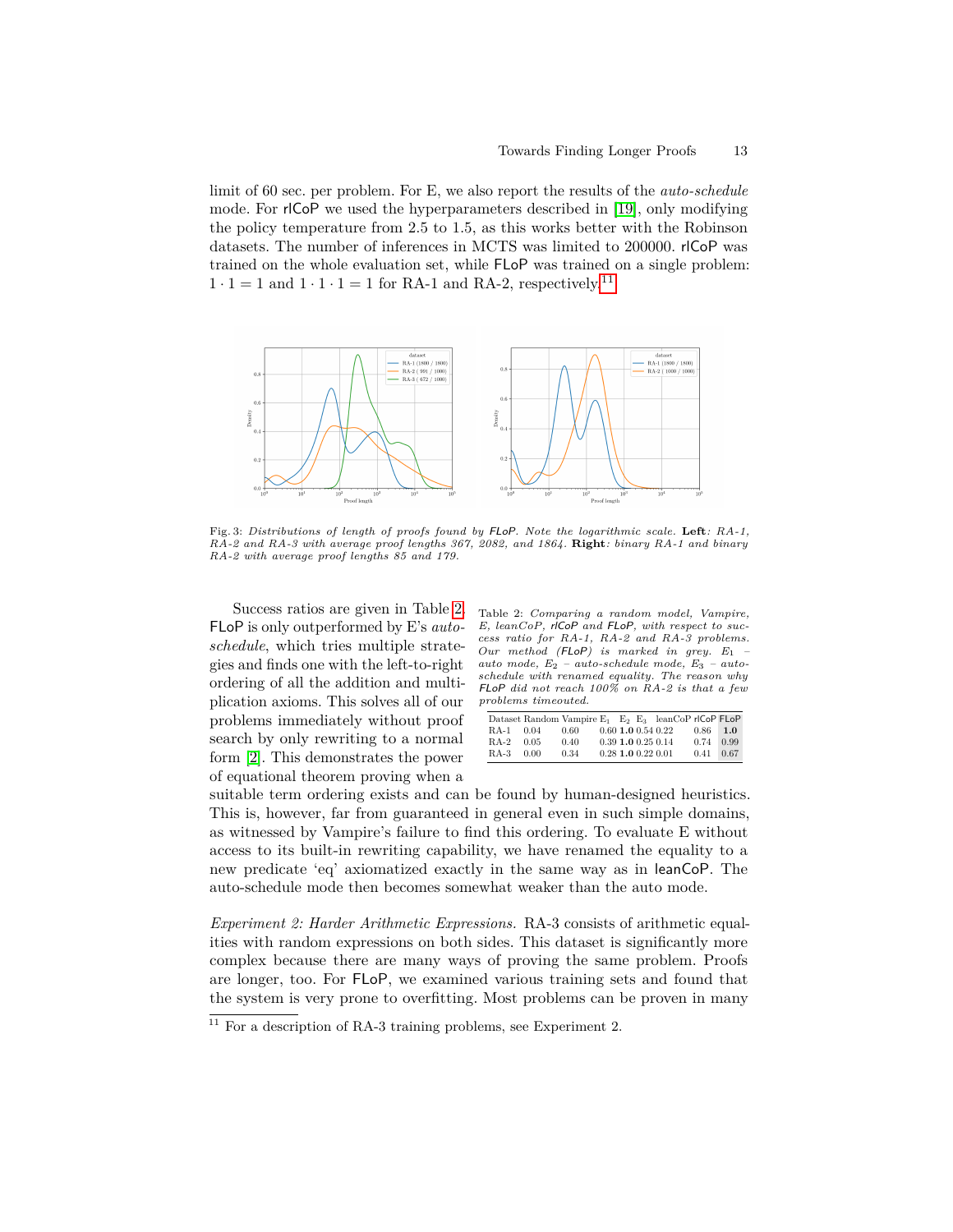limit of 60 sec. per problem. For E, we also report the results of the *auto-schedule* mode. For rlCoP we used the hyperparameters described in [\[19\]](#page-17-1), only modifying the policy temperature from 2*.*5 to 1*.*5, as this works better with the Robinson datasets. The number of inferences in MCTS was limited to 200000. rlCoP was trained on the whole evaluation set, while FLoP was trained on a single problem:  $1 \cdot 1 = 1$  and  $1 \cdot 1 \cdot 1 = 1$  for RA-1 and RA-2, respectively.<sup>[11](#page-12-1)</sup>

<span id="page-12-0"></span>![](_page_12_Figure_2.jpeg)

Fig. 3: *Distributions of length of proofs found by* FLoP*. Note the logarithmic scale.* **Left***: RA-1, RA-2 and RA-3 with average proof lengths 367, 2082, and 1864.* **Right***: binary RA-1 and binary RA-2 with average proof lengths 85 and 179.*

Success ratios are given in Table [2.](#page-12-2) FLoP is only outperformed by E's *autoschedule*, which tries multiple strategies and finds one with the left-to-right ordering of all the addition and multiplication axioms. This solves all of our problems immediately without proof search by only rewriting to a normal form [\[2\]](#page-16-14). This demonstrates the power of equational theorem proving when a

<span id="page-12-2"></span>Table 2: *Comparing a random model, Vampire, E, leanCoP,* rlCoP *and* FLoP*, with respect to success ratio for RA-1, RA-2 and RA-3 problems. Our method (*FLoP*) is marked in grey. E*<sup>1</sup> *– auto mode, E*<sup>2</sup> *– auto-schedule mode, E*<sup>3</sup> *– autoschedule with renamed equality. The reason why* FLoP *did not reach 100% on RA-2 is that a few problems timeouted.*

|        |      | Dataset Random Vampire $E_1$ $E_2$ $E_3$ leanCoP rICoP FLoP |                      |  |                          |      |      |
|--------|------|-------------------------------------------------------------|----------------------|--|--------------------------|------|------|
| R.A-1  | 0.04 | 0.60                                                        |                      |  | $0.60$ 1.0 $0.54$ $0.22$ | 0.86 | 1.0  |
| RA-2   | 0.05 | 0.40                                                        |                      |  | $0.39$ 1.0 0.25 0.14     | 0.74 | 0.99 |
| $RA-3$ | 0.00 | 0.34                                                        | $0.28$ 1.0 0.22 0.01 |  |                          | 0.41 | 0.67 |

suitable term ordering exists and can be found by human-designed heuristics. This is, however, far from guaranteed in general even in such simple domains, as witnessed by Vampire's failure to find this ordering. To evaluate E without access to its built-in rewriting capability, we have renamed the equality to a new predicate 'eq' axiomatized exactly in the same way as in leanCoP. The auto-schedule mode then becomes somewhat weaker than the auto mode.

*Experiment 2: Harder Arithmetic Expressions.* RA-3 consists of arithmetic equalities with random expressions on both sides. This dataset is significantly more complex because there are many ways of proving the same problem. Proofs are longer, too. For FLoP, we examined various training sets and found that the system is very prone to overfitting. Most problems can be proven in many

<span id="page-12-1"></span> $\frac{11}{11}$  For a description of RA-3 training problems, see Experiment 2.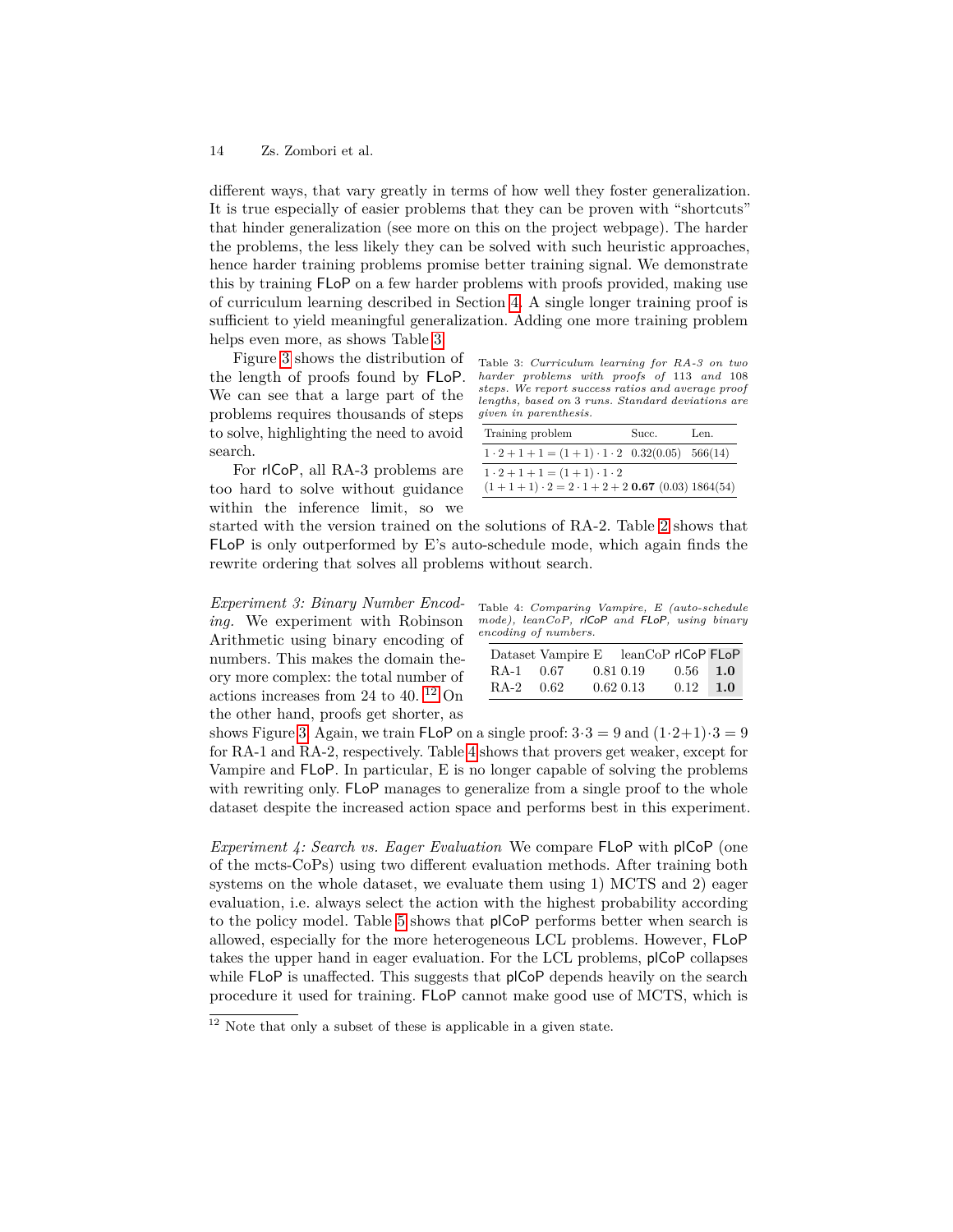different ways, that vary greatly in terms of how well they foster generalization. It is true especially of easier problems that they can be proven with "shortcuts" that hinder generalization (see more on this on the project webpage). The harder the problems, the less likely they can be solved with such heuristic approaches, hence harder training problems promise better training signal. We demonstrate this by training FLoP on a few harder problems with proofs provided, making use of curriculum learning described in Section [4.](#page-5-0) A single longer training proof is sufficient to yield meaningful generalization. Adding one more training problem helps even more, as shows Table [3.](#page-13-0)

Figure [3](#page-12-0) shows the distribution of the length of proofs found by FLoP. We can see that a large part of the problems requires thousands of steps to solve, highlighting the need to avoid search.

For rlCoP, all RA-3 problems are too hard to solve without guidance within the inference limit, so we

<span id="page-13-0"></span>Table 3: *Curriculum learning for RA-3 on two harder problems with proofs of* 113 *and* 108 *steps. We report success ratios and average proof lengths, based on* 3 *runs. Standard deviations are given in parenthesis.*

| Training problem                                                             | Succ. | Len. |
|------------------------------------------------------------------------------|-------|------|
| $1 \cdot 2 + 1 + 1 = (1 + 1) \cdot 1 \cdot 2 \quad 0.32(0.05) \quad 566(14)$ |       |      |
| $1 \cdot 2 + 1 + 1 = (1 + 1) \cdot 1 \cdot 2$                                |       |      |
| $(1+1+1)\cdot 2 = 2\cdot 1 + 2 + 2$ 0.67 (0.03) 1864(54)                     |       |      |

started with the version trained on the solutions of RA-2. Table [2](#page-12-2) shows that FLoP is only outperformed by E's auto-schedule mode, which again finds the rewrite ordering that solves all problems without search.

*Experiment 3: Binary Number Encoding.* We experiment with Robinson Arithmetic using binary encoding of numbers. This makes the domain theory more complex: the total number of actions increases from 24 to 40. [12](#page-13-1) On the other hand, proofs get shorter, as

Table 4: *Comparing Vampire, E (auto-schedule mode), leanCoP,* rlCoP *and* FLoP*, using binary encoding of numbers.*

<span id="page-13-2"></span>

|            |      | Dataset Vampire E leanCoP rlCoP FLoP |                  |  |
|------------|------|--------------------------------------|------------------|--|
| R.A-1 0.67 |      | $0.81\ 0.19$                         | $0.56$ 1.0       |  |
| $RA-2$     | 0.62 | $0.62\;0.13$                         | $0.12 \quad 1.0$ |  |

shows Figure [3.](#page-12-0) Again, we train **FLoP** on a single proof:  $3 \cdot 3 = 9$  and  $(1 \cdot 2 + 1) \cdot 3 = 9$ for RA-1 and RA-2, respectively. Table [4](#page-13-2) shows that provers get weaker, except for Vampire and FLoP. In particular, E is no longer capable of solving the problems with rewriting only. FLoP manages to generalize from a single proof to the whole dataset despite the increased action space and performs best in this experiment.

*Experiment 4: Search vs. Eager Evaluation* We compare FLoP with plCoP (one of the mcts-CoPs) using two different evaluation methods. After training both systems on the whole dataset, we evaluate them using 1) MCTS and 2) eager evaluation, i.e. always select the action with the highest probability according to the policy model. Table [5](#page-14-0) shows that plCoP performs better when search is allowed, especially for the more heterogeneous LCL problems. However, FLoP takes the upper hand in eager evaluation. For the LCL problems, plCoP collapses while FLoP is unaffected. This suggests that **plCoP** depends heavily on the search procedure it used for training. FLoP cannot make good use of MCTS, which is

<span id="page-13-1"></span> $\frac{12}{12}$  Note that only a subset of these is applicable in a given state.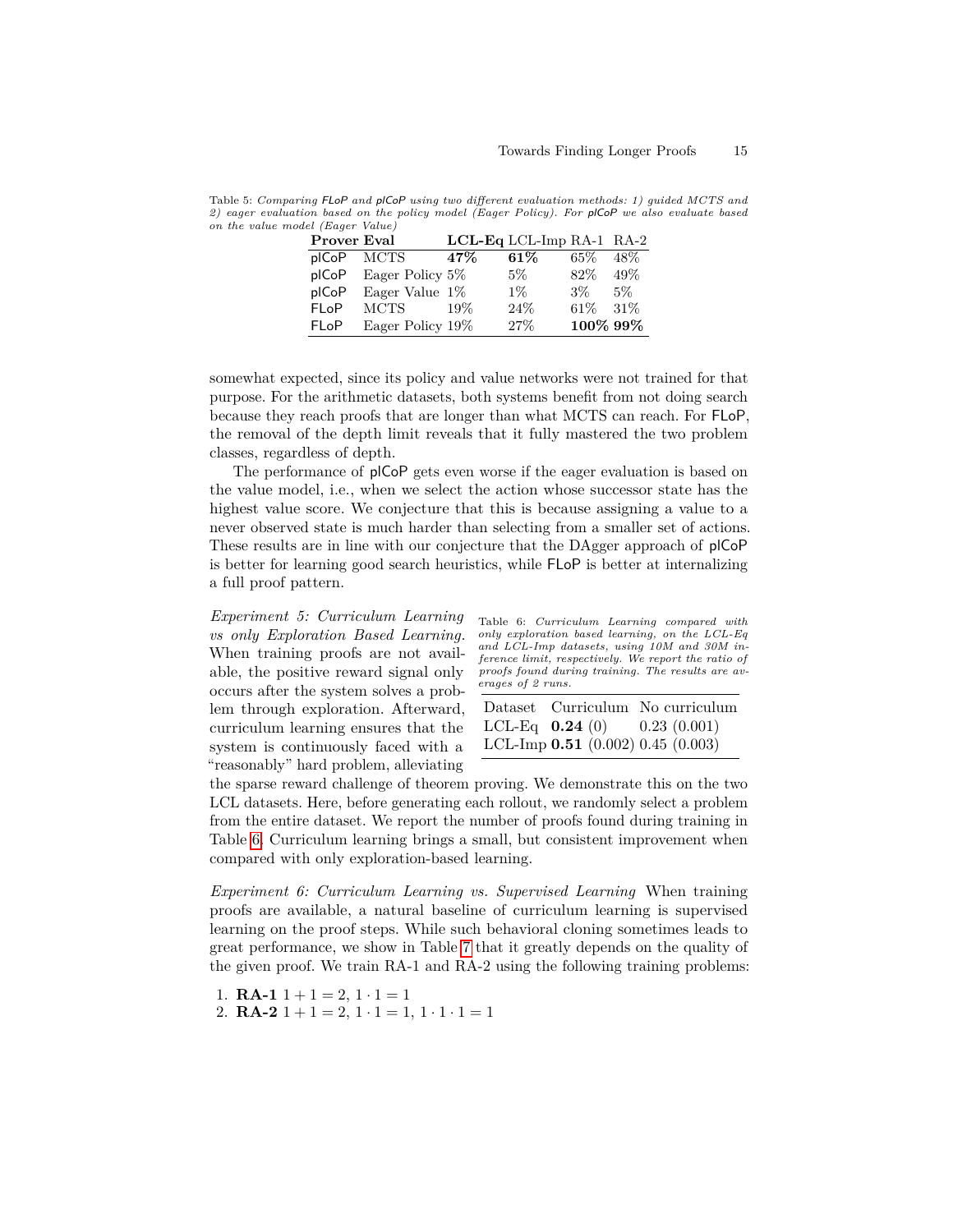<span id="page-14-0"></span>

|  | Table 5: Comparing FLoP and plCoP using two different evaluation methods: 1) quided MCTS and   |  |  |  |  |  |  |
|--|------------------------------------------------------------------------------------------------|--|--|--|--|--|--|
|  | 2) eager evaluation based on the policy model (Eager Policy). For pICoP we also evaluate based |  |  |  |  |  |  |
|  | on the value model (Eager Value)                                                               |  |  |  |  |  |  |

| Prover Eval |                           |        | LCL-Eq LCL-Imp RA-1 RA-2 |          |      |
|-------------|---------------------------|--------|--------------------------|----------|------|
| plCoP MCTS  |                           | $47\%$ | $61\%$                   | $65\%$   | 48\% |
|             | $p$ ICoP Eager Policy 5\% |        | $5\%$                    | 82\%     | 49\% |
| plCoP       | Eager Value $1\%$         |        | $1\%$                    | $3\%$    | 5%   |
| <b>FLoP</b> | MCTS                      | 19%    | 24%                      | $61\%$   | -31% |
| FLoP        | Eager Policy 19%          |        | 27%                      | 100% 99% |      |

somewhat expected, since its policy and value networks were not trained for that purpose. For the arithmetic datasets, both systems benefit from not doing search because they reach proofs that are longer than what MCTS can reach. For FLoP, the removal of the depth limit reveals that it fully mastered the two problem classes, regardless of depth.

The performance of plCoP gets even worse if the eager evaluation is based on the value model, i.e., when we select the action whose successor state has the highest value score. We conjecture that this is because assigning a value to a never observed state is much harder than selecting from a smaller set of actions. These results are in line with our conjecture that the DAgger approach of plCoP is better for learning good search heuristics, while FLoP is better at internalizing a full proof pattern.

*Experiment 5: Curriculum Learning vs only Exploration Based Learning.* When training proofs are not available, the positive reward signal only occurs after the system solves a problem through exploration. Afterward, curriculum learning ensures that the system is continuously faced with a "reasonably" hard problem, alleviating

<span id="page-14-1"></span>Table 6: *Curriculum Learning compared with only exploration based learning, on the LCL-Eq and LCL-Imp datasets, using 10M and 30M inference limit, respectively. We report the ratio of proofs found during training. The results are averages of 2 runs.*

|                                     |  | Dataset Curriculum No curriculum |
|-------------------------------------|--|----------------------------------|
| LCL-Eq $0.24(0)$                    |  | 0.23(0.001)                      |
| LCL-Imp $0.51$ (0.002) 0.45 (0.003) |  |                                  |

the sparse reward challenge of theorem proving. We demonstrate this on the two LCL datasets. Here, before generating each rollout, we randomly select a problem from the entire dataset. We report the number of proofs found during training in Table [6.](#page-14-1) Curriculum learning brings a small, but consistent improvement when compared with only exploration-based learning.

*Experiment 6: Curriculum Learning vs. Supervised Learning* When training proofs are available, a natural baseline of curriculum learning is supervised learning on the proof steps. While such behavioral cloning sometimes leads to great performance, we show in Table [7](#page-15-0) that it greatly depends on the quality of the given proof. We train RA-1 and RA-2 using the following training problems:

1. **RA-1**  $1+1=2$ ,  $1 \cdot 1=1$ 

2. **RA-2**  $1 + 1 = 2$ ,  $1 \cdot 1 = 1$ ,  $1 \cdot 1 \cdot 1 = 1$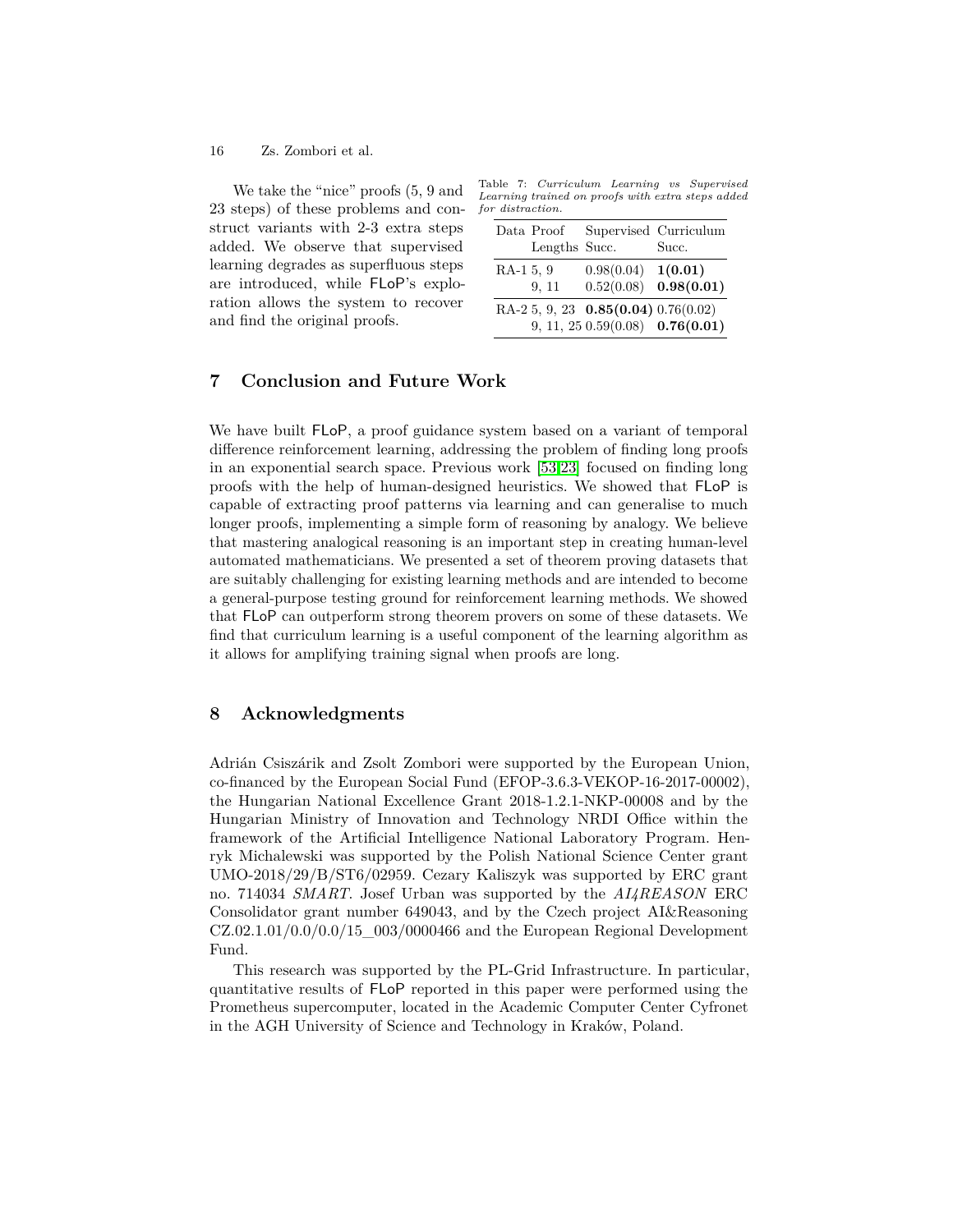We take the "nice" proofs (5, 9 and 23 steps) of these problems and construct variants with 2-3 extra steps added. We observe that supervised learning degrades as superfluous steps are introduced, while FLoP's exploration allows the system to recover and find the original proofs.

<span id="page-15-0"></span>Table 7: *Curriculum Learning vs Supervised Learning trained on proofs with extra steps added for distraction.*

|           | Data Proof<br>Lengths Succ. |                                                                          | Supervised Curriculum<br>Succ. |
|-----------|-----------------------------|--------------------------------------------------------------------------|--------------------------------|
| RA-1 5, 9 | 9, 11                       | $0.98(0.04)$ 1(0.01)<br>0.52(0.08)                                       | 0.98(0.01)                     |
|           |                             | RA-2 5, 9, 23 0.85(0.04) 0.76(0.02)<br>9, 11, 25 $0.59(0.08)$ 0.76(0.01) |                                |

## **7 Conclusion and Future Work**

We have built  $FLOP$ , a proof guidance system based on a variant of temporal difference reinforcement learning, addressing the problem of finding long proofs in an exponential search space. Previous work [\[53,](#page-19-13)[23\]](#page-17-11) focused on finding long proofs with the help of human-designed heuristics. We showed that FLoP is capable of extracting proof patterns via learning and can generalise to much longer proofs, implementing a simple form of reasoning by analogy. We believe that mastering analogical reasoning is an important step in creating human-level automated mathematicians. We presented a set of theorem proving datasets that are suitably challenging for existing learning methods and are intended to become a general-purpose testing ground for reinforcement learning methods. We showed that FLoP can outperform strong theorem provers on some of these datasets. We find that curriculum learning is a useful component of the learning algorithm as it allows for amplifying training signal when proofs are long.

### **8 Acknowledgments**

Adrián Csiszárik and Zsolt Zombori were supported by the European Union, co-financed by the European Social Fund (EFOP-3.6.3-VEKOP-16-2017-00002), the Hungarian National Excellence Grant 2018-1.2.1-NKP-00008 and by the Hungarian Ministry of Innovation and Technology NRDI Office within the framework of the Artificial Intelligence National Laboratory Program. Henryk Michalewski was supported by the Polish National Science Center grant UMO-2018/29/B/ST6/02959. Cezary Kaliszyk was supported by ERC grant no. 714034 *SMART*. Josef Urban was supported by the *AI4REASON* ERC Consolidator grant number 649043, and by the Czech project AI&Reasoning  $CZ.02.1.01/0.0/0.0/15\_003/0000466$  and the European Regional Development Fund.

This research was supported by the PL-Grid Infrastructure. In particular, quantitative results of FLoP reported in this paper were performed using the Prometheus supercomputer, located in the Academic Computer Center Cyfronet in the AGH University of Science and Technology in Kraków, Poland.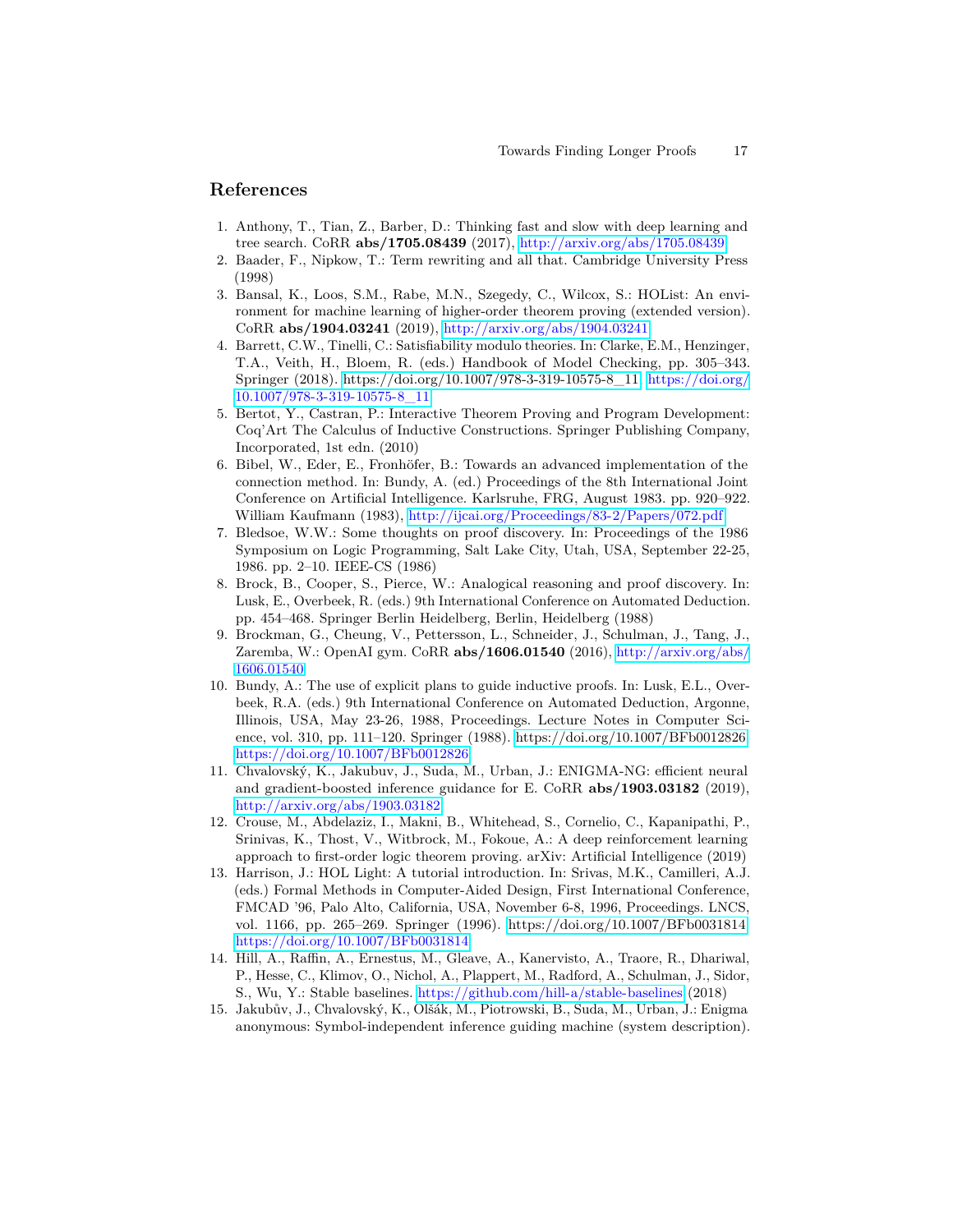## **References**

- <span id="page-16-11"></span>1. Anthony, T., Tian, Z., Barber, D.: Thinking fast and slow with deep learning and tree search. CoRR **abs/1705.08439** (2017), http://arxiv*.*[org/abs/1705](http://arxiv.org/abs/1705.08439)*.*08439
- <span id="page-16-14"></span>2. Baader, F., Nipkow, T.: Term rewriting and all that. Cambridge University Press (1998)
- <span id="page-16-9"></span>3. Bansal, K., Loos, S.M., Rabe, M.N., Szegedy, C., Wilcox, S.: HOList: An environment for machine learning of higher-order theorem proving (extended version). CoRR **abs/1904.03241** (2019), http://arxiv*.*[org/abs/1904](http://arxiv.org/abs/1904.03241)*.*03241
- <span id="page-16-1"></span>4. Barrett, C.W., Tinelli, C.: Satisfiability modulo theories. In: Clarke, E.M., Henzinger, T.A., Veith, H., Bloem, R. (eds.) Handbook of Model Checking, pp. 305–343. Springer (2018). [https://doi.org/10.1007/978-3-319-10575-8\\_11,](https://doi.org/10.1007/978-3-319-10575-8_11) [https://doi](https://doi.org/10.1007/978-3-319-10575-8_11)*.*org/ 10*.*[1007/978-3-319-10575-8\\_11](https://doi.org/10.1007/978-3-319-10575-8_11)
- <span id="page-16-3"></span>5. Bertot, Y., Castran, P.: Interactive Theorem Proving and Program Development: Coq'Art The Calculus of Inductive Constructions. Springer Publishing Company, Incorporated, 1st edn. (2010)
- <span id="page-16-7"></span>6. Bibel, W., Eder, E., Fronhöfer, B.: Towards an advanced implementation of the connection method. In: Bundy, A. (ed.) Proceedings of the 8th International Joint Conference on Artificial Intelligence. Karlsruhe, FRG, August 1983. pp. 920–922. William Kaufmann (1983), http://ijcai*.*[org/Proceedings/83-2/Papers/072](http://ijcai.org/Proceedings/83-2/Papers/072.pdf)*.*pdf
- <span id="page-16-0"></span>7. Bledsoe, W.W.: Some thoughts on proof discovery. In: Proceedings of the 1986 Symposium on Logic Programming, Salt Lake City, Utah, USA, September 22-25, 1986. pp. 2–10. IEEE-CS (1986)
- <span id="page-16-5"></span>8. Brock, B., Cooper, S., Pierce, W.: Analogical reasoning and proof discovery. In: Lusk, E., Overbeek, R. (eds.) 9th International Conference on Automated Deduction. pp. 454–468. Springer Berlin Heidelberg, Berlin, Heidelberg (1988)
- <span id="page-16-13"></span>9. Brockman, G., Cheung, V., Pettersson, L., Schneider, J., Schulman, J., Tang, J., Zaremba, W.: OpenAI gym. CoRR **abs/1606.01540** (2016), [http://arxiv](http://arxiv.org/abs/1606.01540)*.*org/abs/ 1606*.*[01540](http://arxiv.org/abs/1606.01540)
- <span id="page-16-4"></span>10. Bundy, A.: The use of explicit plans to guide inductive proofs. In: Lusk, E.L., Overbeek, R.A. (eds.) 9th International Conference on Automated Deduction, Argonne, Illinois, USA, May 23-26, 1988, Proceedings. Lecture Notes in Computer Science, vol. 310, pp. 111–120. Springer (1988). [https://doi.org/10.1007/BFb0012826,](https://doi.org/10.1007/BFb0012826) https://doi*.*org/10*.*[1007/BFb0012826](https://doi.org/10.1007/BFb0012826)
- <span id="page-16-6"></span>11. Chvalovský, K., Jakubuv, J., Suda, M., Urban, J.: ENIGMA-NG: efficient neural and gradient-boosted inference guidance for E. CoRR **abs/1903.03182** (2019), http://arxiv*.*[org/abs/1903](http://arxiv.org/abs/1903.03182)*.*03182
- <span id="page-16-10"></span>12. Crouse, M., Abdelaziz, I., Makni, B., Whitehead, S., Cornelio, C., Kapanipathi, P., Srinivas, K., Thost, V., Witbrock, M., Fokoue, A.: A deep reinforcement learning approach to first-order logic theorem proving. arXiv: Artificial Intelligence (2019)
- <span id="page-16-2"></span>13. Harrison, J.: HOL Light: A tutorial introduction. In: Srivas, M.K., Camilleri, A.J. (eds.) Formal Methods in Computer-Aided Design, First International Conference, FMCAD '96, Palo Alto, California, USA, November 6-8, 1996, Proceedings. LNCS, vol. 1166, pp. 265–269. Springer (1996). [https://doi.org/10.1007/BFb0031814,](https://doi.org/10.1007/BFb0031814) https://doi*.*org/10*.*[1007/BFb0031814](https://doi.org/10.1007/BFb0031814)
- <span id="page-16-12"></span>14. Hill, A., Raffin, A., Ernestus, M., Gleave, A., Kanervisto, A., Traore, R., Dhariwal, P., Hesse, C., Klimov, O., Nichol, A., Plappert, M., Radford, A., Schulman, J., Sidor, S., Wu, Y.: Stable baselines. https://github*.*[com/hill-a/stable-baselines](https://github.com/hill-a/stable-baselines) (2018)
- <span id="page-16-8"></span>15. Jakubův, J., Chvalovský, K., Olšák, M., Piotrowski, B., Suda, M., Urban, J.: Enigma anonymous: Symbol-independent inference guiding machine (system description).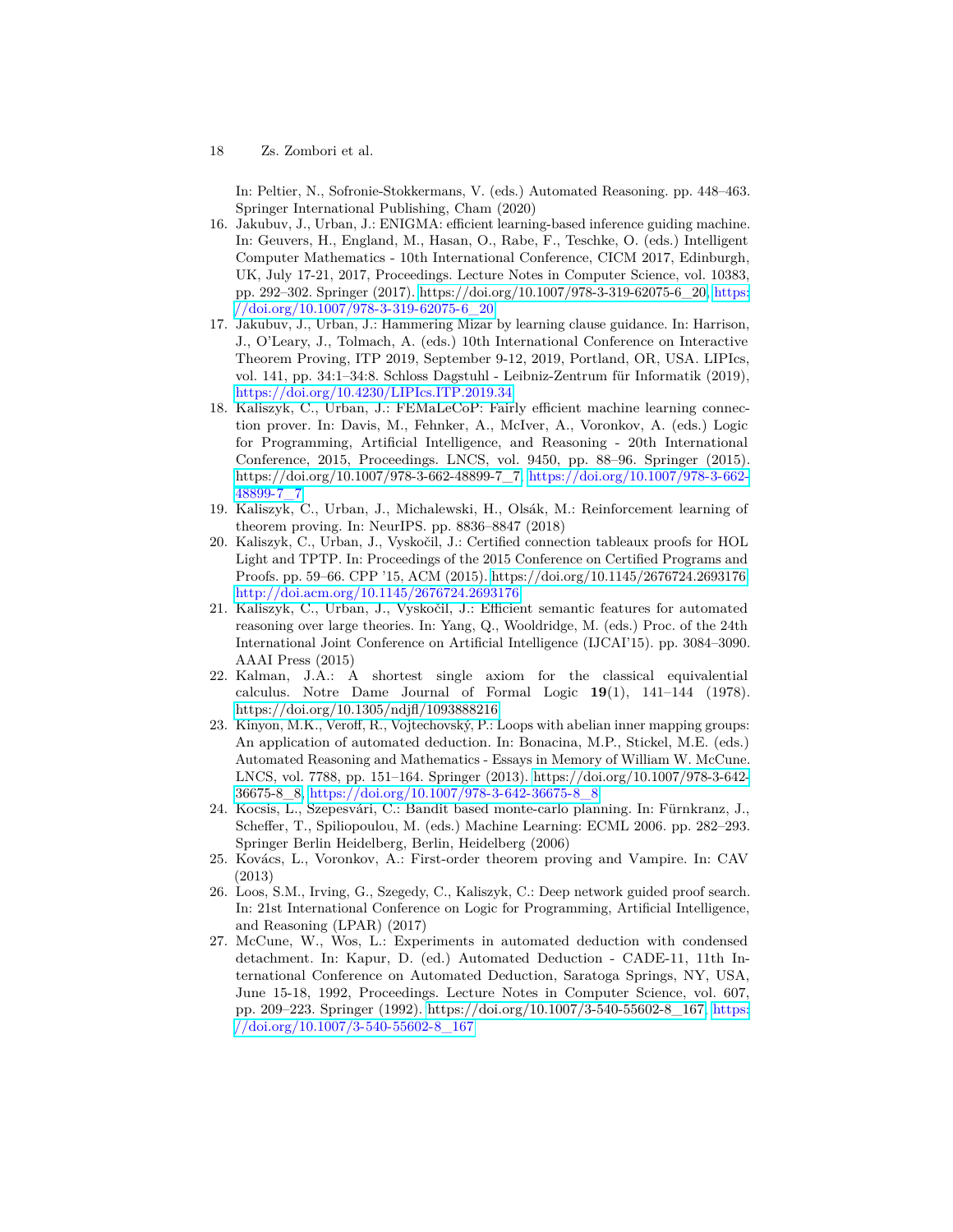In: Peltier, N., Sofronie-Stokkermans, V. (eds.) Automated Reasoning. pp. 448–463. Springer International Publishing, Cham (2020)

- <span id="page-17-5"></span>16. Jakubuv, J., Urban, J.: ENIGMA: efficient learning-based inference guiding machine. In: Geuvers, H., England, M., Hasan, O., Rabe, F., Teschke, O. (eds.) Intelligent Computer Mathematics - 10th International Conference, CICM 2017, Edinburgh, UK, July 17-21, 2017, Proceedings. Lecture Notes in Computer Science, vol. 10383, pp. 292–302. Springer (2017). [https://doi.org/10.1007/978-3-319-62075-6\\_20,](https://doi.org/10.1007/978-3-319-62075-6_20) [https:](https://doi.org/10.1007/978-3-319-62075-6_20) //doi*.*org/10*.*[1007/978-3-319-62075-6\\_20](https://doi.org/10.1007/978-3-319-62075-6_20)
- <span id="page-17-0"></span>17. Jakubuv, J., Urban, J.: Hammering Mizar by learning clause guidance. In: Harrison, J., O'Leary, J., Tolmach, A. (eds.) 10th International Conference on Interactive Theorem Proving, ITP 2019, September 9-12, 2019, Portland, OR, USA. LIPIcs, vol. 141, pp. 34:1–34:8. Schloss Dagstuhl - Leibniz-Zentrum für Informatik (2019), https://doi*.*org/10*.*[4230/LIPIcs](https://doi.org/10.4230/LIPIcs.ITP.2019.34)*.*ITP*.*2019*.*34
- <span id="page-17-3"></span>18. Kaliszyk, C., Urban, J.: FEMaLeCoP: Fairly efficient machine learning connection prover. In: Davis, M., Fehnker, A., McIver, A., Voronkov, A. (eds.) Logic for Programming, Artificial Intelligence, and Reasoning - 20th International Conference, 2015, Proceedings. LNCS, vol. 9450, pp. 88–96. Springer (2015). [https://doi.org/10.1007/978-3-662-48899-7\\_7,](https://doi.org/10.1007/978-3-662-48899-7_7) https://doi*.*org/10*.*[1007/978-3-662-](https://doi.org/10.1007/978-3-662-48899-7_7) [48899-7\\_7](https://doi.org/10.1007/978-3-662-48899-7_7)
- <span id="page-17-1"></span>19. Kaliszyk, C., Urban, J., Michalewski, H., Olsák, M.: Reinforcement learning of theorem proving. In: NeurIPS. pp. 8836–8847 (2018)
- <span id="page-17-8"></span>20. Kaliszyk, C., Urban, J., Vyskočil, J.: Certified connection tableaux proofs for HOL Light and TPTP. In: Proceedings of the 2015 Conference on Certified Programs and Proofs. pp. 59–66. CPP '15, ACM (2015). [https://doi.org/10.1145/2676724.2693176,](https://doi.org/10.1145/2676724.2693176) http://doi*.*acm*.*org/10*.*[1145/2676724](http://doi.acm.org/10.1145/2676724.2693176)*.*2693176
- <span id="page-17-7"></span>21. Kaliszyk, C., Urban, J., Vyskočil, J.: Efficient semantic features for automated reasoning over large theories. In: Yang, Q., Wooldridge, M. (eds.) Proc. of the 24th International Joint Conference on Artificial Intelligence (IJCAI'15). pp. 3084–3090. AAAI Press (2015)
- <span id="page-17-10"></span>22. Kalman, J.A.: A shortest single axiom for the classical equivalential calculus. Notre Dame Journal of Formal Logic **19**(1), 141–144 (1978). <https://doi.org/10.1305/ndjfl/1093888216>
- <span id="page-17-11"></span>23. Kinyon, M.K., Veroff, R., Vojtechovský, P.: Loops with abelian inner mapping groups: An application of automated deduction. In: Bonacina, M.P., Stickel, M.E. (eds.) Automated Reasoning and Mathematics - Essays in Memory of William W. McCune. LNCS, vol. 7788, pp. 151–164. Springer (2013). [https://doi.org/10.1007/978-3-642-](https://doi.org/10.1007/978-3-642-36675-8_8) [36675-8\\_8,](https://doi.org/10.1007/978-3-642-36675-8_8) https://doi*.*org/10*.*[1007/978-3-642-36675-8\\_8](https://doi.org/10.1007/978-3-642-36675-8_8)
- <span id="page-17-6"></span>24. Kocsis, L., Szepesvári, C.: Bandit based monte-carlo planning. In: Fürnkranz, J., Scheffer, T., Spiliopoulou, M. (eds.) Machine Learning: ECML 2006. pp. 282–293. Springer Berlin Heidelberg, Berlin, Heidelberg (2006)
- <span id="page-17-2"></span>25. Kovács, L., Voronkov, A.: First-order theorem proving and Vampire. In: CAV (2013)
- <span id="page-17-4"></span>26. Loos, S.M., Irving, G., Szegedy, C., Kaliszyk, C.: Deep network guided proof search. In: 21st International Conference on Logic for Programming, Artificial Intelligence, and Reasoning (LPAR) (2017)
- <span id="page-17-9"></span>27. McCune, W., Wos, L.: Experiments in automated deduction with condensed detachment. In: Kapur, D. (ed.) Automated Deduction - CADE-11, 11th International Conference on Automated Deduction, Saratoga Springs, NY, USA, June 15-18, 1992, Proceedings. Lecture Notes in Computer Science, vol. 607, pp. 209–223. Springer (1992). [https://doi.org/10.1007/3-540-55602-8\\_167,](https://doi.org/10.1007/3-540-55602-8_167) [https:](https://doi.org/10.1007/3-540-55602-8_167) //doi*.*org/10*.*[1007/3-540-55602-8\\_167](https://doi.org/10.1007/3-540-55602-8_167)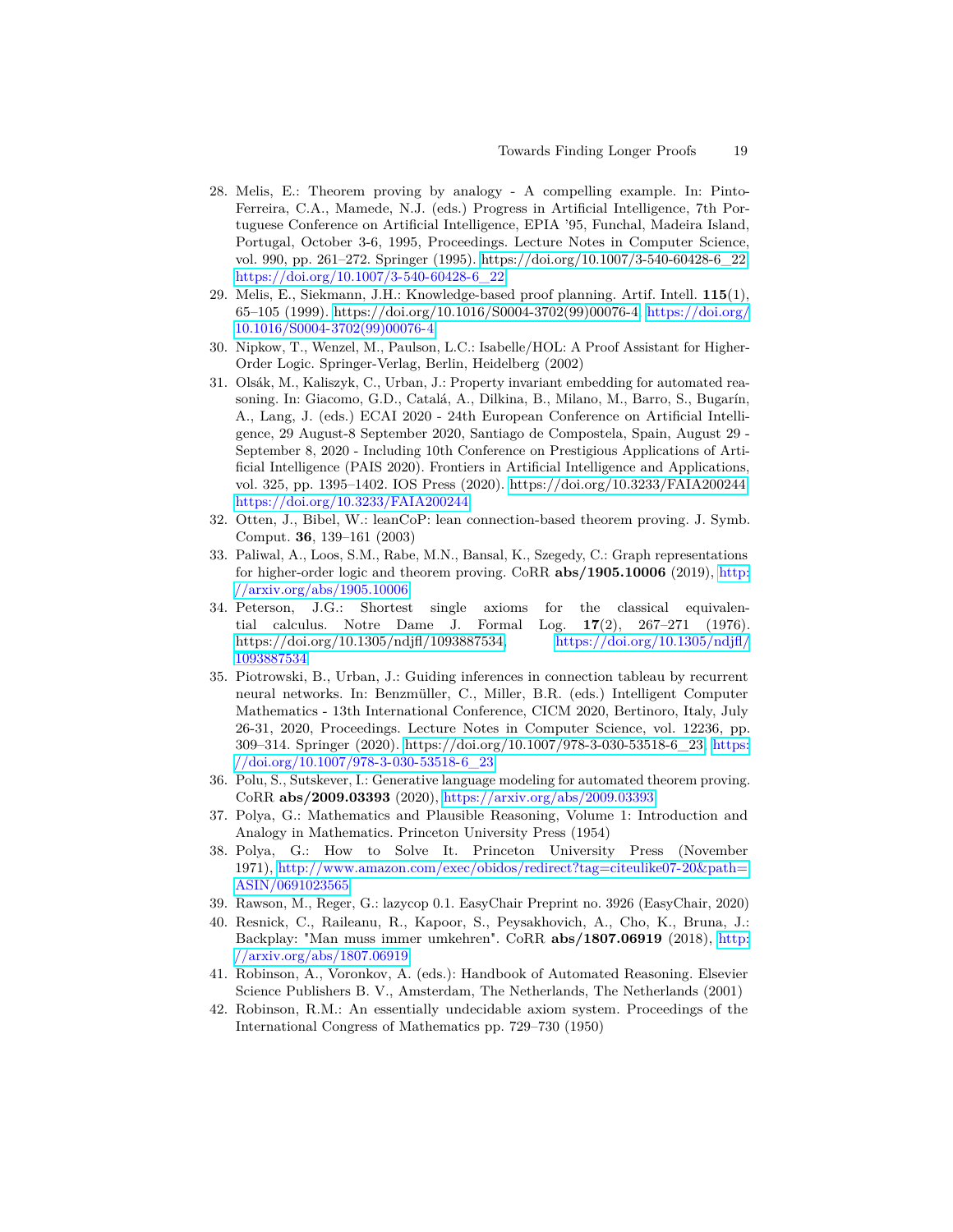- <span id="page-18-2"></span>28. Melis, E.: Theorem proving by analogy - A compelling example. In: Pinto-Ferreira, C.A., Mamede, N.J. (eds.) Progress in Artificial Intelligence, 7th Portuguese Conference on Artificial Intelligence, EPIA '95, Funchal, Madeira Island, Portugal, October 3-6, 1995, Proceedings. Lecture Notes in Computer Science, vol. 990, pp. 261–272. Springer (1995). [https://doi.org/10.1007/3-540-60428-6\\_22,](https://doi.org/10.1007/3-540-60428-6_22) https://doi*.*org/10*.*[1007/3-540-60428-6\\_22](https://doi.org/10.1007/3-540-60428-6_22)
- <span id="page-18-1"></span>29. Melis, E., Siekmann, J.H.: Knowledge-based proof planning. Artif. Intell. **115**(1), 65–105 (1999). [https://doi.org/10.1016/S0004-3702\(99\)00076-4,](https://doi.org/10.1016/S0004-3702(99)00076-4) [https://doi](https://doi.org/10.1016/S0004-3702(99)00076-4)*.*org/ 10*.*[1016/S0004-3702\(99\)00076-4](https://doi.org/10.1016/S0004-3702(99)00076-4)
- <span id="page-18-0"></span>30. Nipkow, T., Wenzel, M., Paulson, L.C.: Isabelle/HOL: A Proof Assistant for Higher-Order Logic. Springer-Verlag, Berlin, Heidelberg (2002)
- <span id="page-18-3"></span>31. Olsák, M., Kaliszyk, C., Urban, J.: Property invariant embedding for automated reasoning. In: Giacomo, G.D., Catalá, A., Dilkina, B., Milano, M., Barro, S., Bugarín, A., Lang, J. (eds.) ECAI 2020 - 24th European Conference on Artificial Intelligence, 29 August-8 September 2020, Santiago de Compostela, Spain, August 29 - September 8, 2020 - Including 10th Conference on Prestigious Applications of Artificial Intelligence (PAIS 2020). Frontiers in Artificial Intelligence and Applications, vol. 325, pp. 1395–1402. IOS Press (2020). [https://doi.org/10.3233/FAIA200244,](https://doi.org/10.3233/FAIA200244) https://doi*.*org/10*.*[3233/FAIA200244](https://doi.org/10.3233/FAIA200244)
- <span id="page-18-6"></span>32. Otten, J., Bibel, W.: leanCoP: lean connection-based theorem proving. J. Symb. Comput. **36**, 139–161 (2003)
- <span id="page-18-10"></span>33. Paliwal, A., Loos, S.M., Rabe, M.N., Bansal, K., Szegedy, C.: Graph representations for higher-order logic and theorem proving. CoRR **abs/1905.10006** (2019), [http:](http://arxiv.org/abs/1905.10006) //arxiv*.*[org/abs/1905](http://arxiv.org/abs/1905.10006)*.*10006
- <span id="page-18-14"></span>34. Peterson, J.G.: Shortest single axioms for the classical equivalential calculus. Notre Dame J. Formal Log. **17**(2), 267–271 (1976). [https://doi.org/10.1305/ndjfl/1093887534,](https://doi.org/10.1305/ndjfl/1093887534) https://doi*.*org/10*.*[1305/ndjfl/](https://doi.org/10.1305/ndjfl/1093887534) [1093887534](https://doi.org/10.1305/ndjfl/1093887534)
- <span id="page-18-11"></span>35. Piotrowski, B., Urban, J.: Guiding inferences in connection tableau by recurrent neural networks. In: Benzmüller, C., Miller, B.R. (eds.) Intelligent Computer Mathematics - 13th International Conference, CICM 2020, Bertinoro, Italy, July 26-31, 2020, Proceedings. Lecture Notes in Computer Science, vol. 12236, pp. 309–314. Springer (2020). [https://doi.org/10.1007/978-3-030-53518-6\\_23,](https://doi.org/10.1007/978-3-030-53518-6_23) [https:](https://doi.org/10.1007/978-3-030-53518-6_23) //doi*.*org/10*.*[1007/978-3-030-53518-6\\_23](https://doi.org/10.1007/978-3-030-53518-6_23)
- <span id="page-18-4"></span>36. Polu, S., Sutskever, I.: Generative language modeling for automated theorem proving. CoRR **abs/2009.03393** (2020), https://arxiv*.*[org/abs/2009](https://arxiv.org/abs/2009.03393)*.*03393
- <span id="page-18-8"></span>37. Polya, G.: Mathematics and Plausible Reasoning, Volume 1: Introduction and Analogy in Mathematics. Princeton University Press (1954)
- <span id="page-18-7"></span>38. Polya, G.: How to Solve It. Princeton University Press (November 1971), http://www*.*amazon*.*[com/exec/obidos/redirect?tag=citeulike07-20&path=](http://www.amazon.com/exec/obidos/redirect?tag=citeulike07-20&path=ASIN/0691023565) [ASIN/0691023565](http://www.amazon.com/exec/obidos/redirect?tag=citeulike07-20&path=ASIN/0691023565)
- <span id="page-18-9"></span>39. Rawson, M., Reger, G.: lazycop 0.1. EasyChair Preprint no. 3926 (EasyChair, 2020)
- <span id="page-18-5"></span>40. Resnick, C., Raileanu, R., Kapoor, S., Peysakhovich, A., Cho, K., Bruna, J.: Backplay: "Man muss immer umkehren". CoRR **abs/1807.06919** (2018), [http:](http://arxiv.org/abs/1807.06919) //arxiv*.*[org/abs/1807](http://arxiv.org/abs/1807.06919)*.*06919
- <span id="page-18-12"></span>41. Robinson, A., Voronkov, A. (eds.): Handbook of Automated Reasoning. Elsevier Science Publishers B. V., Amsterdam, The Netherlands, The Netherlands (2001)
- <span id="page-18-13"></span>42. Robinson, R.M.: An essentially undecidable axiom system. Proceedings of the International Congress of Mathematics pp. 729–730 (1950)